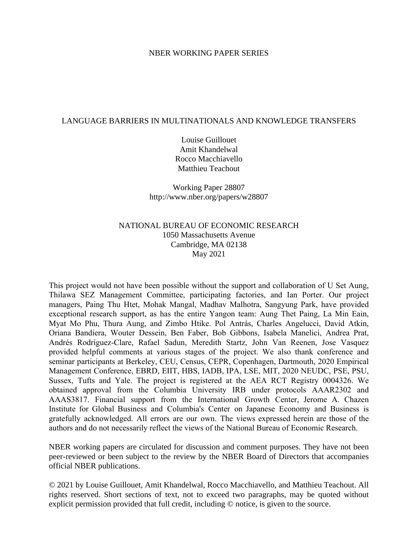## NBER WORKING PAPER SERIES

# LANGUAGE BARRIERS IN MULTINATIONALS AND KNOWLEDGE TRANSFERS

Louise Guillouet Amit Khandelwal Rocco Macchiavello Matthieu Teachout

Working Paper 28807 http://www.nber.org/papers/w28807

# NATIONAL BUREAU OF ECONOMIC RESEARCH 1050 Massachusetts Avenue Cambridge, MA 02138 May 2021

This project would not have been possible without the support and collaboration of U Set Aung, Thilawa SEZ Management Committee, participating factories, and Ian Porter. Our project managers, Paing Thu Htet, Mohak Mangal, Madhav Malhotra, Sangyung Park, have provided exceptional research support, as has the entire Yangon team: Aung Thet Paing, La Min Eain, Myat Mo Phu, Thura Aung, and Zimbo Htike. Pol Antrás, Charles Angelucci, David Atkin, Oriana Bandiera, Wouter Dessein, Ben Faber, Bob Gibbons, Isabela Manelici, Andrea Prat, Andrés Rodríguez-Clare, Rafael Sadun, Meredith Startz, John Van Reenen, Jose Vasquez provided helpful comments at various stages of the project. We also thank conference and seminar participants at Berkeley, CEU, Census, CEPR, Copenhagen, Dartmouth, 2020 Empirical Management Conference, EBRD, EIIT, HBS, IADB, IPA, LSE, MIT, 2020 NEUDC, PSE, PSU, Sussex, Tufts and Yale. The project is registered at the AEA RCT Registry 0004326. We obtained approval from the Columbia University IRB under protocols AAAR2302 and AAAS3817. Financial support from the International Growth Center, Jerome A. Chazen Institute for Global Business and Columbia's Center on Japanese Economy and Business is gratefully acknowledged. All errors are our own. The views expressed herein are those of the authors and do not necessarily reflect the views of the National Bureau of Economic Research.

NBER working papers are circulated for discussion and comment purposes. They have not been peer-reviewed or been subject to the review by the NBER Board of Directors that accompanies official NBER publications.

© 2021 by Louise Guillouet, Amit Khandelwal, Rocco Macchiavello, and Matthieu Teachout. All rights reserved. Short sections of text, not to exceed two paragraphs, may be quoted without explicit permission provided that full credit, including © notice, is given to the source.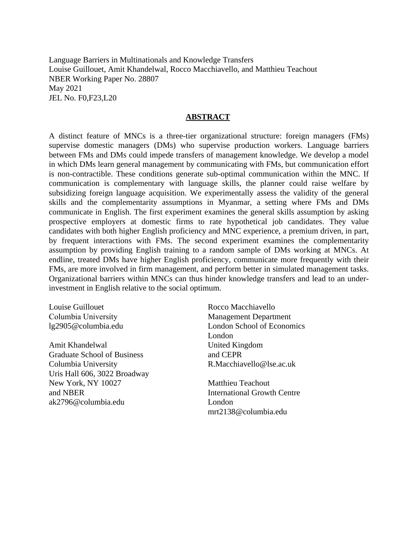Language Barriers in Multinationals and Knowledge Transfers Louise Guillouet, Amit Khandelwal, Rocco Macchiavello, and Matthieu Teachout NBER Working Paper No. 28807 May 2021 JEL No. F0,F23,L20

# **ABSTRACT**

A distinct feature of MNCs is a three-tier organizational structure: foreign managers (FMs) supervise domestic managers (DMs) who supervise production workers. Language barriers between FMs and DMs could impede transfers of management knowledge. We develop a model in which DMs learn general management by communicating with FMs, but communication effort is non-contractible. These conditions generate sub-optimal communication within the MNC. If communication is complementary with language skills, the planner could raise welfare by subsidizing foreign language acquisition. We experimentally assess the validity of the general skills and the complementarity assumptions in Myanmar, a setting where FMs and DMs communicate in English. The first experiment examines the general skills assumption by asking prospective employers at domestic firms to rate hypothetical job candidates. They value candidates with both higher English proficiency and MNC experience, a premium driven, in part, by frequent interactions with FMs. The second experiment examines the complementarity assumption by providing English training to a random sample of DMs working at MNCs. At endline, treated DMs have higher English proficiency, communicate more frequently with their FMs, are more involved in firm management, and perform better in simulated management tasks. Organizational barriers within MNCs can thus hinder knowledge transfers and lead to an underinvestment in English relative to the social optimum.

Louise Guillouet Columbia University lg2905@columbia.edu

Amit Khandelwal Graduate School of Business Columbia University Uris Hall 606, 3022 Broadway New York, NY 10027 and NBER ak2796@columbia.edu

Rocco Macchiavello Management Department London School of Economics London United Kingdom and CEPR R.Macchiavello@lse.ac.uk

Matthieu Teachout International Growth Centre London mrt2138@columbia.edu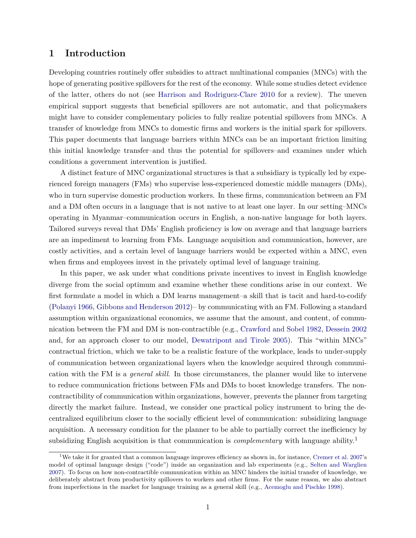# **1 Introduction**

Developing countries routinely offer subsidies to attract multinational companies (MNCs) with the hope of generating positive spillovers for the rest of the economy. While some studies detect evidence of the latter, others do not (see [Harrison and Rodriguez-Clare 2010](#page-34-0) for a review). The uneven empirical support suggests that beneficial spillovers are not automatic, and that policymakers might have to consider complementary policies to fully realize potential spillovers from MNCs. A transfer of knowledge from MNCs to domestic firms and workers is the initial spark for spillovers. This paper documents that language barriers within MNCs can be an important friction limiting this initial knowledge transfer–and thus the potential for spillovers–and examines under which conditions a government intervention is justified.

A distinct feature of MNC organizational structures is that a subsidiary is typically led by experienced foreign managers (FMs) who supervise less-experienced domestic middle managers (DMs), who in turn supervise domestic production workers. In these firms, communication between an FM and a DM often occurs in a language that is not native to at least one layer. In our setting–MNCs operating in Myanmar–communication occurs in English, a non-native language for both layers. Tailored surveys reveal that DMs' English proficiency is low on average and that language barriers are an impediment to learning from FMs. Language acquisition and communication, however, are costly activities, and a certain level of language barriers would be expected within a MNC, even when firms and employees invest in the privately optimal level of language training.

In this paper, we ask under what conditions private incentives to invest in English knowledge diverge from the social optimum and examine whether these conditions arise in our context. We first formulate a model in which a DM learns management–a skill that is tacit and hard-to-codify [\(Polanyi 1966,](#page-35-0) [Gibbons and Henderson 2012\)](#page-33-0)– by communicating with an FM. Following a standard assumption within organizational economics, we assume that the amount, and content, of communication between the FM and DM is non-contractible (e.g., [Crawford and Sobel 1982,](#page-33-1) [Dessein 2002](#page-33-2) and, for an approach closer to our model, [Dewatripont and Tirole 2005\)](#page-33-3). This "within MNCs" contractual friction, which we take to be a realistic feature of the workplace, leads to under-supply of communication between organizational layers when the knowledge acquired through communication with the FM is a *general skill*. In those circumstances, the planner would like to intervene to reduce communication frictions between FMs and DMs to boost knowledge transfers. The noncontractibility of communication within organizations, however, prevents the planner from targeting directly the market failure. Instead, we consider one practical policy instrument to bring the decentralized equilibrium closer to the socially efficient level of communication: subsidizing language acquisition. A necessary condition for the planner to be able to partially correct the inefficiency by subsidizing English acquisition is that communication is *complementary* with language ability.<sup>1</sup>

<sup>&</sup>lt;sup>1</sup>We take it for granted that a common language improves efficiency as shown in, for instance, [Cremer et al. 2007'](#page-33-4)s model of optimal language design ("code") inside an organization and lab experiments (e.g., [Selten and Warglien](#page-35-1) [2007\)](#page-35-1). To focus on how non-contractible communication within an MNC hinders the initial transfer of knowledge, we deliberately abstract from productivity spillovers to workers and other firms. For the same reason, we also abstract from imperfections in the market for language training as a general skill (e.g., [Acemoglu and Pischke 1998\)](#page-31-0).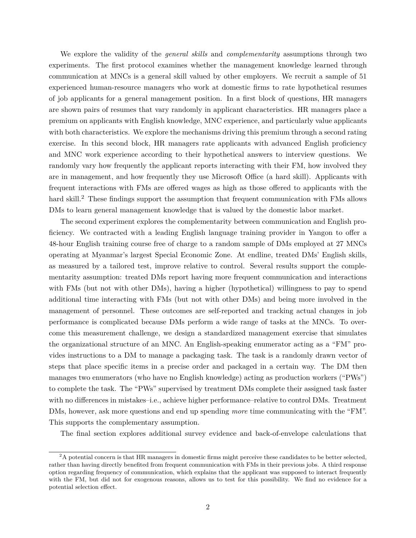We explore the validity of the *general skills* and *complementarity* assumptions through two experiments. The first protocol examines whether the management knowledge learned through communication at MNCs is a general skill valued by other employers. We recruit a sample of 51 experienced human-resource managers who work at domestic firms to rate hypothetical resumes of job applicants for a general management position. In a first block of questions, HR managers are shown pairs of resumes that vary randomly in applicant characteristics. HR managers place a premium on applicants with English knowledge, MNC experience, and particularly value applicants with both characteristics. We explore the mechanisms driving this premium through a second rating exercise. In this second block, HR managers rate applicants with advanced English proficiency and MNC work experience according to their hypothetical answers to interview questions. We randomly vary how frequently the applicant reports interacting with their FM, how involved they are in management, and how frequently they use Microsoft Office (a hard skill). Applicants with frequent interactions with FMs are offered wages as high as those offered to applicants with the hard skill.<sup>2</sup> These findings support the assumption that frequent communication with FMs allows DMs to learn general management knowledge that is valued by the domestic labor market.

The second experiment explores the complementarity between communication and English proficiency. We contracted with a leading English language training provider in Yangon to offer a 48-hour English training course free of charge to a random sample of DMs employed at 27 MNCs operating at Myanmar's largest Special Economic Zone. At endline, treated DMs' English skills, as measured by a tailored test, improve relative to control. Several results support the complementarity assumption: treated DMs report having more frequent communication and interactions with FMs (but not with other DMs), having a higher (hypothetical) willingness to pay to spend additional time interacting with FMs (but not with other DMs) and being more involved in the management of personnel. These outcomes are self-reported and tracking actual changes in job performance is complicated because DMs perform a wide range of tasks at the MNCs. To overcome this measurement challenge, we design a standardized management exercise that simulates the organizational structure of an MNC. An English-speaking enumerator acting as a "FM" provides instructions to a DM to manage a packaging task. The task is a randomly drawn vector of steps that place specific items in a precise order and packaged in a certain way. The DM then manages two enumerators (who have no English knowledge) acting as production workers ("PWs") to complete the task. The "PWs" supervised by treatment DMs complete their assigned task faster with no differences in mistakes–i.e., achieve higher performance–relative to control DMs. Treatment DMs, however, ask more questions and end up spending *more* time communicating with the "FM". This supports the complementary assumption.

The final section explores additional survey evidence and back-of-envelope calculations that

 $2A$  potential concern is that HR managers in domestic firms might perceive these candidates to be better selected, rather than having directly benefited from frequent communication with FMs in their previous jobs. A third response option regarding frequency of communication, which explains that the applicant was supposed to interact frequently with the FM, but did not for exogenous reasons, allows us to test for this possibility. We find no evidence for a potential selection effect.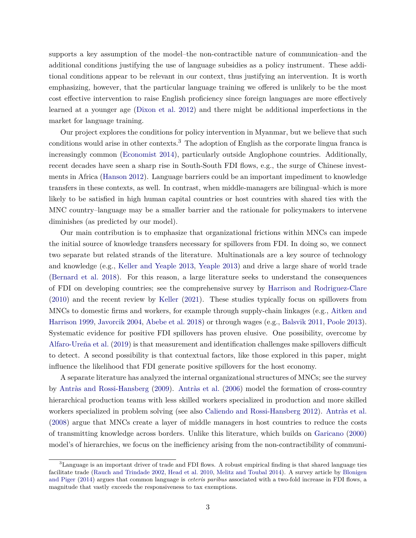supports a key assumption of the model–the non-contractible nature of communication–and the additional conditions justifying the use of language subsidies as a policy instrument. These additional conditions appear to be relevant in our context, thus justifying an intervention. It is worth emphasizing, however, that the particular language training we offered is unlikely to be the most cost effective intervention to raise English proficiency since foreign languages are more effectively learned at a younger age [\(Dixon et al. 2012\)](#page-33-5) and there might be additional imperfections in the market for language training.

Our project explores the conditions for policy intervention in Myanmar, but we believe that such conditions would arise in other contexts.<sup>3</sup> The adoption of English as the corporate lingua franca is increasingly common [\(Economist 2014\)](#page-33-6), particularly outside Anglophone countries. Additionally, recent decades have seen a sharp rise in South-South FDI flows, e.g., the surge of Chinese investments in Africa [\(Hanson 2012\)](#page-34-1). Language barriers could be an important impediment to knowledge transfers in these contexts, as well. In contrast, when middle-managers are bilingual–which is more likely to be satisfied in high human capital countries or host countries with shared ties with the MNC country–language may be a smaller barrier and the rationale for policymakers to intervene diminishes (as predicted by our model).

Our main contribution is to emphasize that organizational frictions within MNCs can impede the initial source of knowledge transfers necessary for spillovers from FDI. In doing so, we connect two separate but related strands of the literature. Multinationals are a key source of technology and knowledge (e.g., [Keller and Yeaple 2013,](#page-34-2) [Yeaple 2013\)](#page-35-2) and drive a large share of world trade [\(Bernard et al. 2018\)](#page-32-0). For this reason, a large literature seeks to understand the consequences of FDI on developing countries; see the comprehensive survey by [Harrison and Rodriguez-Clare](#page-34-0) [\(2010\)](#page-34-0) and the recent review by [Keller](#page-34-3) [\(2021\)](#page-34-3). These studies typically focus on spillovers from MNCs to domestic firms and workers, for example through supply-chain linkages (e.g., [Aitken and](#page-31-1) [Harrison 1999,](#page-31-1) [Javorcik 2004,](#page-34-4) [Abebe et al. 2018\)](#page-31-2) or through wages (e.g., [Balsvik 2011,](#page-32-1) [Poole 2013\)](#page-35-3). Systematic evidence for positive FDI spillovers has proven elusive. One possibility, overcome by [Alfaro-Ureña et al.](#page-32-2) [\(2019\)](#page-32-2) is that measurement and identification challenges make spillovers difficult to detect. A second possibility is that contextual factors, like those explored in this paper, might influence the likelihood that FDI generate positive spillovers for the host economy.

A separate literature has analyzed the internal organizational structures of MNCs; see the survey by [Antràs and Rossi-Hansberg](#page-32-3) [\(2009\)](#page-32-3). [Antràs et al.](#page-32-4) [\(2006\)](#page-32-4) model the formation of cross-country hierarchical production teams with less skilled workers specialized in production and more skilled workers specialized in problem solving (see also [Caliendo and Rossi-Hansberg 2012\)](#page-33-7). [Antràs et al.](#page-32-5) [\(2008\)](#page-32-5) argue that MNCs create a layer of middle managers in host countries to reduce the costs of transmitting knowledge across borders. Unlike this literature, which builds on [Garicano](#page-33-8) [\(2000\)](#page-33-8) model's of hierarchies, we focus on the inefficiency arising from the non-contractibility of communi-

 ${}^{3}$ Language is an important driver of trade and FDI flows. A robust empirical finding is that shared language ties facilitate trade [\(Rauch and Trindade 2002,](#page-35-4) [Head et al. 2010,](#page-34-5) [Melitz and Toubal 2014\)](#page-35-5). A survey article by [Blonigen](#page-32-6) [and Piger](#page-32-6) [\(2014\)](#page-32-6) argues that common language is *ceteris paribus* associated with a two-fold increase in FDI flows, a magnitude that vastly exceeds the responsiveness to tax exemptions.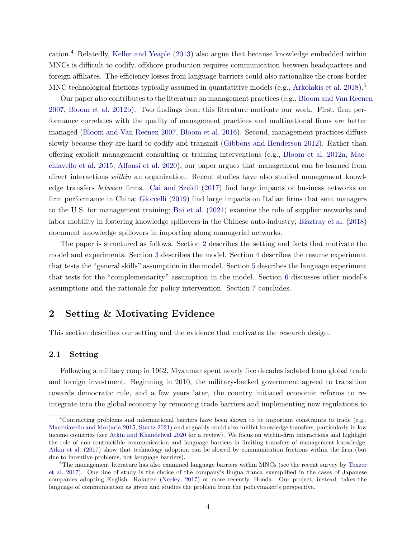cation.<sup>4</sup> Relatedly, [Keller and Yeaple](#page-34-2) [\(2013\)](#page-34-2) also argue that because knowledge embedded within MNCs is difficult to codify, offshore production requires communication between headquarters and foreign affiliates. The efficiency losses from language barriers could also rationalize the cross-border MNC technological frictions typically assumed in quantatitive models (e.g., [Arkolakis et al. 2018\)](#page-32-7).<sup>5</sup>

Our paper also contributes to the literature on management practices (e.g., [Bloom and Van Reenen](#page-33-9) [2007,](#page-33-9) [Bloom et al. 2012b\)](#page-32-8). Two findings from this literature motivate our work. First, firm performance correlates with the quality of management practices and multinational firms are better managed [\(Bloom and Van Reenen 2007,](#page-33-9) [Bloom et al. 2016\)](#page-33-10). Second, management practices diffuse slowly because they are hard to codify and transmit [\(Gibbons and Henderson 2012\)](#page-33-0). Rather than offering explicit management consulting or training interventions (e.g., [Bloom et al. 2012a,](#page-32-9) [Mac](#page-34-6)[chiavello et al. 2015,](#page-34-6) [Alfonsi et al. 2020\)](#page-32-10), our paper argues that management can be learned from direct interactions *within* an organization. Recent studies have also studied management knowledge transfers *between* firms. [Cai and Szeidl](#page-33-11) [\(2017\)](#page-33-11) find large impacts of business networks on firm performance in China; [Giorcelli](#page-34-7) [\(2019\)](#page-34-7) find large impacts on Italian firms that sent managers to the U.S. for management training; [Bai et al.](#page-32-11) [\(2021\)](#page-32-11) examine the role of supplier networks and labor mobility in fostering knowledge spillovers in the Chinese auto-industry; [Bisztray et al.](#page-32-12) [\(2018\)](#page-32-12) document knowledge spillovers in importing along managerial networks.

The paper is structured as follows. Section [2](#page-5-0) describes the setting and facts that motivate the model and experiments. Section [3](#page-11-0) describes the model. Section [4](#page-16-0) describes the resume experiment that tests the "general skills" assumption in the model. Section [5](#page-21-0) describes the language experiment that tests for the "complementarity" assumption in the model. Section [6](#page-28-0) discusses other model's assumptions and the rationale for policy intervention. Section [7](#page-31-3) concludes.

# <span id="page-5-0"></span>**2 Setting & Motivating Evidence**

This section describes our setting and the evidence that motivates the research design.

## **2.1 Setting**

Following a military coup in 1962, Myanmar spent nearly five decades isolated from global trade and foreign investment. Beginning in 2010, the military-backed government agreed to transition towards democratic rule, and a few years later, the country initiated economic reforms to reintegrate into the global economy by removing trade barriers and implementing new regulations to

<sup>&</sup>lt;sup>4</sup>Contracting problems and informational barriers have been shown to be important constraints to trade (e.g., [Macchiavello and Morjaria 2015,](#page-34-8) [Startz 2021\)](#page-35-6) and arguably could also inhibit knowledge transfers, particularly in low income countries (see [Atkin and Khandelwal 2020](#page-32-13) for a review). We focus on within-firm interactions and highlight the role of non-contractible communication and language barriers in limiting transfers of management knowledge. [Atkin et al.](#page-32-14) [\(2017\)](#page-32-14) show that technology adoption can be slowed by communication frictions within the firm (but due to incentive problems, not language barriers).

 $5$ The management literature has also examined language barriers within MNCs (see the recent survey by [Tenzer](#page-35-7) [et al. 2017\)](#page-35-7). One line of study is the choice of the company's lingua franca exemplified in the cases of Japanese companies adopting English: Rakuten [\(Neeley,](#page-35-8) [2017\)](#page-35-8) or more recently, Honda. Our project, instead, takes the language of communication as given and studies the problem from the policymaker's perspective.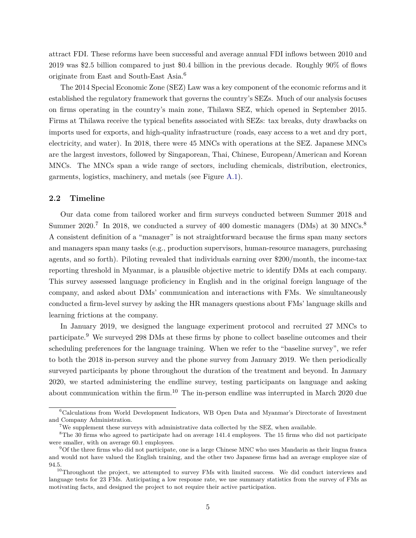attract FDI. These reforms have been successful and average annual FDI inflows between 2010 and 2019 was \$2.5 billion compared to just \$0.4 billion in the previous decade. Roughly 90% of flows originate from East and South-East Asia.<sup>6</sup>

The 2014 Special Economic Zone (SEZ) Law was a key component of the economic reforms and it established the regulatory framework that governs the country's SEZs. Much of our analysis focuses on firms operating in the country's main zone, Thilawa SEZ, which opened in September 2015. Firms at Thilawa receive the typical benefits associated with SEZs: tax breaks, duty drawbacks on imports used for exports, and high-quality infrastructure (roads, easy access to a wet and dry port, electricity, and water). In 2018, there were 45 MNCs with operations at the SEZ. Japanese MNCs are the largest investors, followed by Singaporean, Thai, Chinese, European/American and Korean MNCs. The MNCs span a wide range of sectors, including chemicals, distribution, electronics, garments, logistics, machinery, and metals (see Figure [A.1\)](#page-52-0).

## **2.2 Timeline**

Our data come from tailored worker and firm surveys conducted between Summer 2018 and Summer  $2020$ .<sup>7</sup> In 2018, we conducted a survey of 400 domestic managers (DMs) at 30 MNCs.<sup>8</sup> A consistent definition of a "manager" is not straightforward because the firms span many sectors and managers span many tasks (e.g., production supervisors, human-resource managers, purchasing agents, and so forth). Piloting revealed that individuals earning over \$200/month, the income-tax reporting threshold in Myanmar, is a plausible objective metric to identify DMs at each company. This survey assessed language proficiency in English and in the original foreign language of the company, and asked about DMs' communication and interactions with FMs. We simultaneously conducted a firm-level survey by asking the HR managers questions about FMs' language skills and learning frictions at the company.

In January 2019, we designed the language experiment protocol and recruited 27 MNCs to participate.<sup>9</sup> We surveyed 298 DMs at these firms by phone to collect baseline outcomes and their scheduling preferences for the language training. When we refer to the "baseline survey", we refer to both the 2018 in-person survey and the phone survey from January 2019. We then periodically surveyed participants by phone throughout the duration of the treatment and beyond. In January 2020, we started administering the endline survey, testing participants on language and asking about communication within the firm.<sup>10</sup> The in-person endline was interrupted in March 2020 due

<sup>6</sup>Calculations from World Development Indicators, WB Open Data and Myanmar's Directorate of Investment and Company Administration.

<sup>&</sup>lt;sup>7</sup>We supplement these surveys with administrative data collected by the SEZ, when available.

<sup>&</sup>lt;sup>8</sup>The 30 firms who agreed to participate had on average 141.4 employees. The 15 firms who did not participate were smaller, with on average 60.1 employees.

<sup>9</sup>Of the three firms who did not participate, one is a large Chinese MNC who uses Mandarin as their lingua franca and would not have valued the English training, and the other two Japanese firms had an average employee size of 94.5.

 $10$ Throughout the project, we attempted to survey FMs with limited success. We did conduct interviews and language tests for 23 FMs. Anticipating a low response rate, we use summary statistics from the survey of FMs as motivating facts, and designed the project to not require their active participation.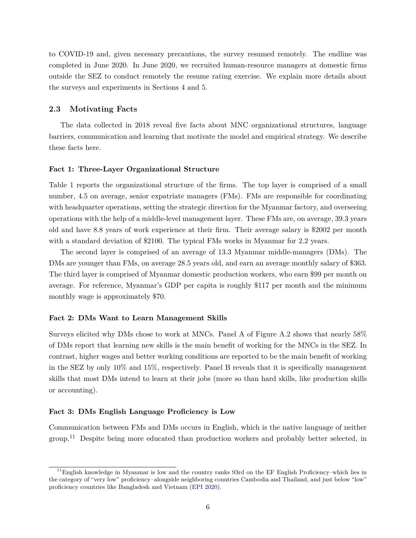to COVID-19 and, given necessary precautions, the survey resumed remotely. The endline was completed in June 2020. In June 2020, we recruited human-resource managers at domestic firms outside the SEZ to conduct remotely the resume rating exercise. We explain more details about the surveys and experiments in Sections [4](#page-16-0) and [5.](#page-21-0)

### **2.3 Motivating Facts**

The data collected in 2018 reveal five facts about MNC organizational structures, language barriers, communication and learning that motivate the model and empirical strategy. We describe these facts here.

## **Fact 1: Three-Layer Organizational Structure**

Table [1](#page-36-0) reports the organizational structure of the firms. The top layer is comprised of a small number, 4.5 on average, senior expatriate managers (FMs). FMs are responsible for coordinating with headquarter operations, setting the strategic direction for the Myanmar factory, and overseeing operations with the help of a middle-level management layer. These FMs are, on average, 39.3 years old and have 8.8 years of work experience at their firm. Their average salary is \$2002 per month with a standard deviation of \$2100. The typical FMs works in Myanmar for 2.2 years.

The second layer is comprised of an average of 13.3 Myanmar middle-managers (DMs). The DMs are younger than FMs, on average 28.5 years old, and earn an average monthly salary of \$363. The third layer is comprised of Myanmar domestic production workers, who earn \$99 per month on average. For reference, Myanmar's GDP per capita is roughly \$117 per month and the minimum monthly wage is approximately \$70.

## **Fact 2: DMs Want to Learn Management Skills**

Surveys elicited why DMs chose to work at MNCs. Panel A of Figure [A.2](#page-53-0) shows that nearly 58% of DMs report that learning new skills is the main benefit of working for the MNCs in the SEZ. In contrast, higher wages and better working conditions are reported to be the main benefit of working in the SEZ by only 10% and 15%, respectively. Panel B reveals that it is specifically management skills that most DMs intend to learn at their jobs (more so than hard skills, like production skills or accounting).

### **Fact 3: DMs English Language Proficiency is Low**

Communication between FMs and DMs occurs in English, which is the native language of neither group.<sup>11</sup> Despite being more educated than production workers and probably better selected, in

 $11$ English knowledge in Myanmar is low and the country ranks 93rd on the EF English Proficiency–which lies in the category of "very low" proficiency*–*alongside neighboring countries Cambodia and Thailand, and just below "low" proficiency countries like Bangladesh and Vietnam [\(EPI 2020\)](#page-33-12).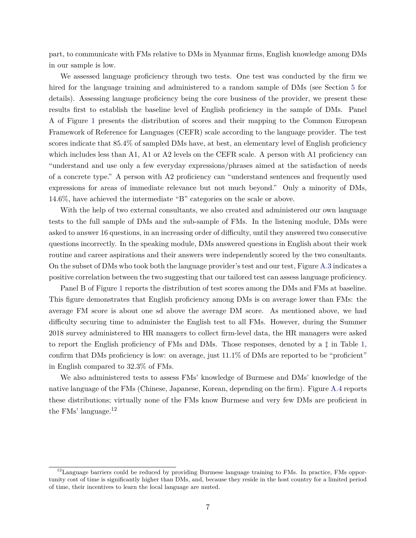part, to communicate with FMs relative to DMs in Myanmar firms, English knowledge among DMs in our sample is low.

We assessed language proficiency through two tests. One test was conducted by the firm we hired for the language training and administered to a random sample of DMs (see Section [5](#page-21-0) for details). Assessing language proficiency being the core business of the provider, we present these results first to establish the baseline level of English proficiency in the sample of DMs. Panel A of Figure [1](#page-44-0) presents the distribution of scores and their mapping to the Common European Framework of Reference for Languages (CEFR) scale according to the language provider. The test scores indicate that 85.4% of sampled DMs have, at best, an elementary level of English proficiency which includes less than A1, A1 or A2 levels on the CEFR scale. A person with A1 proficiency can "understand and use only a few everyday expressions/phrases aimed at the satisfaction of needs of a concrete type." A person with A2 proficiency can "understand sentences and frequently used expressions for areas of immediate relevance but not much beyond." Only a minority of DMs, 14.6%, have achieved the intermediate "B" categories on the scale or above.

With the help of two external consultants, we also created and administered our own language tests to the full sample of DMs and the sub-sample of FMs. In the listening module, DMs were asked to answer 16 questions, in an increasing order of difficulty, until they answered two consecutive questions incorrectly. In the speaking module, DMs answered questions in English about their work routine and career aspirations and their answers were independently scored by the two consultants. On the subset of DMs who took both the language provider's test and our test, Figure [A.3](#page-54-0) indicates a positive correlation between the two suggesting that our tailored test can assess language proficiency.

Panel B of Figure [1](#page-44-0) reports the distribution of test scores among the DMs and FMs at baseline. This figure demonstrates that English proficiency among DMs is on average lower than FMs: the average FM score is about one sd above the average DM score. As mentioned above, we had difficulty securing time to administer the English test to all FMs. However, during the Summer 2018 survey administered to HR managers to collect firm-level data, the HR managers were asked to report the English proficiency of FMs and DMs. Those responses, denoted by a ‡ in Table [1,](#page-36-0) confirm that DMs proficiency is low: on average, just 11.1% of DMs are reported to be "proficient" in English compared to 32.3% of FMs.

We also administered tests to assess FMs' knowledge of Burmese and DMs' knowledge of the native language of the FMs (Chinese, Japanese, Korean, depending on the firm). Figure [A.4](#page-55-0) reports these distributions; virtually none of the FMs know Burmese and very few DMs are proficient in the FMs' language.<sup>12</sup>

 $12$ Language barriers could be reduced by providing Burmese language training to FMs. In practice, FMs opportunity cost of time is significantly higher than DMs, and, because they reside in the host country for a limited period of time, their incentives to learn the local language are muted.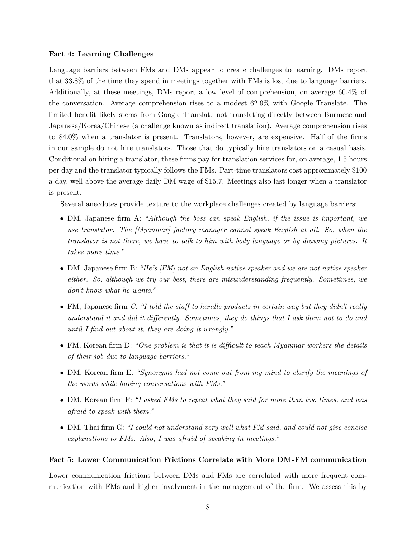## **Fact 4: Learning Challenges**

Language barriers between FMs and DMs appear to create challenges to learning. DMs report that 33.8% of the time they spend in meetings together with FMs is lost due to language barriers. Additionally, at these meetings, DMs report a low level of comprehension, on average 60.4% of the conversation. Average comprehension rises to a modest 62.9% with Google Translate. The limited benefit likely stems from Google Translate not translating directly between Burmese and Japanese/Korea/Chinese (a challenge known as indirect translation). Average comprehension rises to 84.0% when a translator is present. Translators, however, are expensive. Half of the firms in our sample do not hire translators. Those that do typically hire translators on a casual basis. Conditional on hiring a translator, these firms pay for translation services for, on average, 1.5 hours per day and the translator typically follows the FMs. Part-time translators cost approximately \$100 a day, well above the average daily DM wage of \$15.7. Meetings also last longer when a translator is present.

Several anecdotes provide texture to the workplace challenges created by language barriers:

- DM, Japanese firm A: *"Although the boss can speak English, if the issue is important, we use translator. The [Myanmar] factory manager cannot speak English at all. So, when the translator is not there, we have to talk to him with body language or by drawing pictures. It takes more time."*
- DM, Japanese firm B: *"He's [FM] not an English native speaker and we are not native speaker either. So, although we try our best, there are misunderstanding frequently. Sometimes, we don't know what he wants."*
- FM, Japanese firm *C: "I told the staff to handle products in certain way but they didn't really understand it and did it differently. Sometimes, they do things that I ask them not to do and until I find out about it, they are doing it wrongly."*
- FM, Korean firm D: *"One problem is that it is difficult to teach Myanmar workers the details of their job due to language barriers."*
- DM, Korean firm E*: "Synonyms had not come out from my mind to clarify the meanings of the words while having conversations with FMs."*
- DM, Korean firm F: *"I asked FMs to repeat what they said for more than two times, and was afraid to speak with them."*
- DM, Thai firm G: *"I could not understand very well what FM said, and could not give concise explanations to FMs. Also, I was afraid of speaking in meetings."*

### **Fact 5: Lower Communication Frictions Correlate with More DM-FM communication**

Lower communication frictions between DMs and FMs are correlated with more frequent communication with FMs and higher involvment in the management of the firm. We assess this by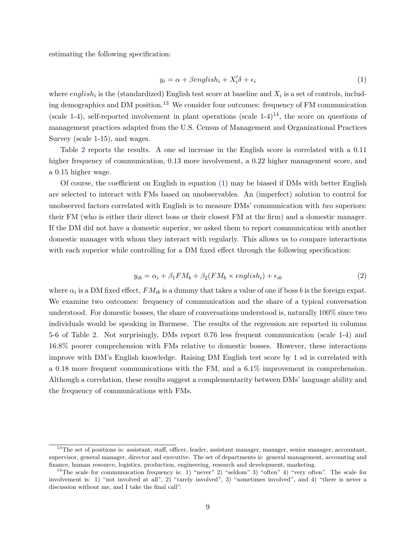estimating the following specification:

<span id="page-10-0"></span>
$$
y_i = \alpha + \beta \text{english}_i + X_i' \delta + \epsilon_i \tag{1}
$$

where  $english_i$  is the (standardized) English test score at baseline and  $X_i$  is a set of controls, including demographics and DM position.<sup>13</sup> We consider four outcomes: frequency of FM communication (scale 1-4), self-reported involvement in plant operations (scale  $1-4$ )<sup>14</sup>, the score on questions of management practices adapted from the U.S. Census of Management and Organizational Practices Survey (scale 1-15), and wages.

Table [2](#page-37-0) reports the results. A one sd increase in the English score is correlated with a 0.11 higher frequency of communication, 0.13 more involvement, a 0.22 higher management score, and a 0.15 higher wage.

Of course, the coefficient on English in equation [\(1\)](#page-10-0) may be biased if DMs with better English are selected to interact with FMs based on unobservables. An (imperfect) solution to control for unobserved factors correlated with English is to measure DMs' communication with *two* superiors: their FM (who is either their direct boss or their closest FM at the firm) and a domestic manager. If the DM did not have a domestic superior, we asked them to report communication with another domestic manager with whom they interact with regularly. This allows us to compare interactions with each superior while controlling for a DM fixed effect through the following specification:

$$
y_{ib} = \alpha_i + \beta_1 FM_b + \beta_2 (FM_b \times english_i) + \epsilon_{ib}
$$
\n
$$
\tag{2}
$$

where  $\alpha_i$  is a DM fixed effect,  $FM_{ib}$  is a dummy that takes a value of one if boss  $b$  is the foreign expat. We examine two outcomes: frequency of communication and the share of a typical conversation understood. For domestic bosses, the share of conversations understood is, naturally 100% since two individuals would be speaking in Burmese. The results of the regression are reported in columns 5-6 of Table [2.](#page-37-0) Not surprisingly, DMs report 0.76 less frequent communication (scale 1-4) and 16.8% poorer comprehension with FMs relative to domestic bosses. However, these interactions improve with DM's English knowledge. Raising DM English test score by 1 sd is correlated with a 0.18 more frequent communications with the FM, and a 6.1% improvement in comprehension. Although a correlation, these results suggest a complementarity between DMs' language ability and the frequency of communications with FMs.

<sup>&</sup>lt;sup>13</sup>The set of positions is: assistant, staff, officer, leader, assistant manager, manager, senior manager, accountant, supervisor, general manager, director and executive. The set of departments is: general management, accounting and finance, human resource, logistics, production, engineering, research and development, marketing.

<sup>&</sup>lt;sup>14</sup>The scale for communucation frequency is: 1) "never" 2) "seldom" 3) "often" 4) "very often". The scale for involvement is: 1) "not involved at all", 2) "rarely involved", 3) "sometimes involved", and 4) "there is never a discussion without me, and I take the final call".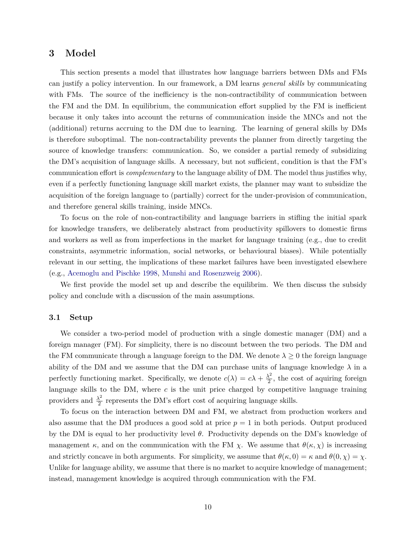# <span id="page-11-0"></span>**3 Model**

This section presents a model that illustrates how language barriers between DMs and FMs can justify a policy intervention. In our framework, a DM learns *general skills* by communicating with FMs. The source of the inefficiency is the non-contractibility of communication between the FM and the DM. In equilibrium, the communication effort supplied by the FM is inefficient because it only takes into account the returns of communication inside the MNCs and not the (additional) returns accruing to the DM due to learning. The learning of general skills by DMs is therefore suboptimal. The non-contractability prevents the planner from directly targeting the source of knowledge transfers: communication. So, we consider a partial remedy of subsidizing the DM's acquisition of language skills. A necessary, but not sufficient, condition is that the FM's communication effort is *complementary* to the language ability of DM. The model thus justifies why, even if a perfectly functioning language skill market exists, the planner may want to subsidize the acquisition of the foreign language to (partially) correct for the under-provision of communication, and therefore general skills training, inside MNCs.

To focus on the role of non-contractibility and language barriers in stifling the initial spark for knowledge transfers, we deliberately abstract from productivity spillovers to domestic firms and workers as well as from imperfections in the market for language training (e.g., due to credit constraints, asymmetric information, social networks, or behavioural biases). While potentially relevant in our setting, the implications of these market failures have been investigated elsewhere (e.g., [Acemoglu and Pischke 1998,](#page-31-0) [Munshi and Rosenzweig 2006\)](#page-35-9).

We first provide the model set up and describe the equilibrim. We then discuss the subsidy policy and conclude with a discussion of the main assumptions.

### **3.1 Setup**

We consider a two-period model of production with a single domestic manager (DM) and a foreign manager (FM). For simplicity, there is no discount between the two periods. The DM and the FM communicate through a language foreign to the DM. We denote  $\lambda \geq 0$  the foreign language ability of the DM and we assume that the DM can purchase units of language knowledge  $\lambda$  in a perfectly functioning market. Specifically, we denote  $c(\lambda) = c\lambda + \frac{\lambda^2}{2}$  $\frac{\lambda^2}{2}$ , the cost of aquiring foreign language skills to the DM, where *c* is the unit price charged by competitive language training providers and  $\frac{\lambda^2}{2}$  $\frac{\lambda^2}{2}$  represents the DM's effort cost of acquiring language skills.

To focus on the interaction between DM and FM, we abstract from production workers and also assume that the DM produces a good sold at price  $p = 1$  in both periods. Output produced by the DM is equal to her productivity level *θ*. Productivity depends on the DM's knowledge of management  $\kappa$ , and on the communication with the FM  $\chi$ . We assume that  $\theta(\kappa, \chi)$  is increasing and strictly concave in both arguments. For simplicity, we assume that  $\theta(\kappa, 0) = \kappa$  and  $\theta(0, \chi) = \chi$ . Unlike for language ability, we assume that there is no market to acquire knowledge of management; instead, management knowledge is acquired through communication with the FM.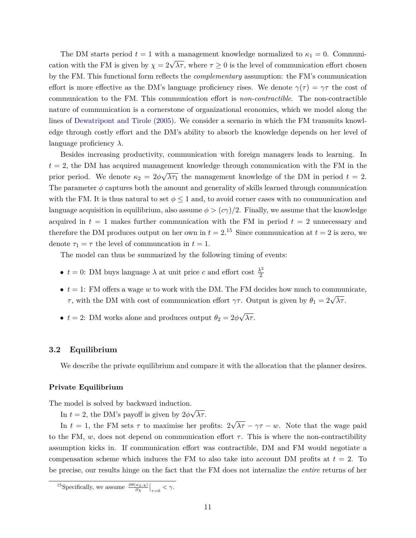The DM starts period  $t = 1$  with a management knowledge normalized to  $\kappa_1 = 0$ . Communication with the FM is given by  $\chi = 2\sqrt{\lambda \tau}$ , where  $\tau \ge 0$  is the level of communication effort chosen by the FM. This functional form reflects the *complementary* assumption: the FM's communication effort is more effective as the DM's language proficiency rises. We denote  $\gamma(\tau) = \gamma \tau$  the cost of communication to the FM. This communication effort is *non-contractible*. The non-contractible nature of communication is a cornerstone of organizational economics, which we model along the lines of [Dewatripont and Tirole](#page-33-3) [\(2005\)](#page-33-3). We consider a scenario in which the FM transmits knowledge through costly effort and the DM's ability to absorb the knowledge depends on her level of language proficiency *λ*.

Besides increasing productivity, communication with foreign managers leads to learning. In  $t = 2$ , the DM has acquired management knowledge through communication with the FM in the prior period. We denote  $\kappa_2 = 2\phi$  $\mathsf{P}^\circ$  $\overline{\lambda \tau_1}$  the management knowledge of the DM in period  $t = 2$ . The parameter  $\phi$  captures both the amount and generality of skills learned through communication with the FM. It is thus natural to set  $\phi \leq 1$  and, to avoid corner cases with no communication and language acquisition in equilibrium, also assume  $\phi > (c\gamma)/2$ . Finally, we assume that the knowledge acquired in  $t = 1$  makes further communication with the FM in period  $t = 2$  unnecessary and therefore the DM produces output on her own in  $t = 2$ .<sup>15</sup> Since communication at  $t = 2$  is zero, we denote  $\tau_1 = \tau$  the level of communcation in  $t = 1$ .

The model can thus be summarized by the following timing of events:

- $t = 0$ : DM buys language  $\lambda$  at unit price *c* and effort cost  $\frac{\lambda^2}{2}$ 2
- $\bullet$   $t = 1$ : FM offers a wage *w* to work with the DM. The FM decides how much to communicate, *τ*, with the DM with cost of communication effort *γτ*. Output is given by  $\theta_1 = 2\sqrt{\lambda \tau}$ .
- $t = 2$ : DM works alone and produces output  $\theta_2 = 2\phi$ √ *λτ* .

### **3.2 Equilibrium**

We describe the private equilibrium and compare it with the allocation that the planner desires.

### **Private Equilibrium**

The model is solved by backward induction. √

In  $t = 2$ , the DM's payoff is given by  $2\phi$ *λτ* .

In  $t = 1$ , the FM sets  $\tau$  to maximise her profits: 2 √  $\lambda \tau - \gamma \tau - w$ . Note that the wage paid to the FM, *w*, does not depend on communication effort  $\tau$ . This is where the non-contractibility assumption kicks in. If communication effort was contractible, DM and FM would negotiate a compensation scheme which induces the FM to also take into account DM profits at  $t = 2$ . To be precise, our results hinge on the fact that the FM does not internalize the *entire* returns of her

<sup>&</sup>lt;sup>15</sup>Specifically, we assume  $\frac{\partial \theta(\kappa_2, \chi)}{\partial \chi}\Big|_{\tau=0} < \gamma$ .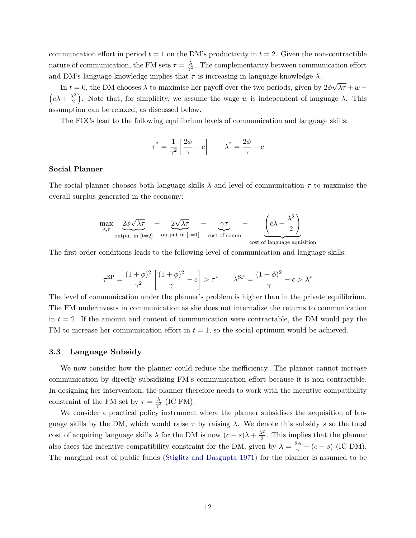communcation effort in period  $t = 1$  on the DM's productivity in  $t = 2$ . Given the non-contractible nature of communication, the FM sets  $\tau = \frac{\lambda}{\alpha^2}$  $\frac{\lambda}{\gamma^2}$ . The complementarity between communication effort and DM's language knowledge implies that  $\tau$  is increasing in language knowledge  $\lambda$ . √

In  $t = 0$ , the DM chooses  $\lambda$  to maximise her payoff over the two periods, given by  $2\phi$ *λτ* +*w* −  $\left(c\lambda+\frac{\lambda^2}{2}\right)$  $\left(\frac{\lambda^2}{2}\right)$ . Note that, for simplicity, we assume the wage *w* is independent of language *λ*. This assumption can be relaxed, as discussed below.

The FOCs lead to the following equilibrium levels of communication and language skills:

$$
\tau^* = \frac{1}{\gamma^2} \left[ \frac{2\phi}{\gamma} - c \right] \qquad \lambda^* = \frac{2\phi}{\gamma} - c
$$

## **Social Planner**

The social planner chooses both language skills *λ* and level of communication *τ* to maximise the overall surplus generated in the economy:

$$
\max_{\lambda,\tau} \underbrace{2\phi\sqrt{\lambda\tau}}_{\text{output in }[t=2]} + \underbrace{2\sqrt{\lambda\tau}}_{\text{output in }[t=1]} - \underbrace{\gamma\tau}_{\text{cost of comm}} - \underbrace{\left(c\lambda + \frac{\lambda^2}{2}\right)}_{\text{cost of language acquisition}}
$$

The first order conditions leads to the following level of communication and language skills:

$$
\tau^{\rm SP} = \frac{(1+\phi)^2}{\gamma^2} \left[ \frac{(1+\phi)^2}{\gamma} - c \right] > \tau^* \qquad \lambda^{\rm SP} = \frac{(1+\phi)^2}{\gamma} - c > \lambda^*
$$

The level of communication under the planner's problem is higher than in the private equilibrium. The FM underinvests in communication as she does not internalize the returns to communication in  $t = 2$ . If the amount and content of communication were contractable, the DM would pay the FM to increase her communication effort in  $t = 1$ , so the social optimum would be achieved.

### **3.3 Language Subsidy**

We now consider how the planner could reduce the inefficiency. The planner cannot increase communication by directly subsidizing FM's communication effort because it is non-contractible. In designing her intervention, the planner therefore needs to work with the incentive compatibility constraint of the FM set by  $\tau = \frac{\lambda}{\alpha^2}$  $\frac{\lambda}{\gamma^2}$  (IC FM).

We consider a practical policy instrument where the planner subsidises the acquisition of language skills by the DM, which would raise  $\tau$  by raising  $\lambda$ . We denote this subsidy *s* so the total cost of acquiring language skills  $\lambda$  for the DM is now  $(c - s)\lambda + \frac{\lambda^2}{2}$  $\frac{\lambda^2}{2}$ . This implies that the planner also faces the incentive compatibility constraint for the DM, given by  $\lambda = \frac{2\phi}{\gamma} - (c - s)$  (IC DM). The marginal cost of public funds [\(Stiglitz and Dasgupta 1971\)](#page-35-10) for the planner is assumed to be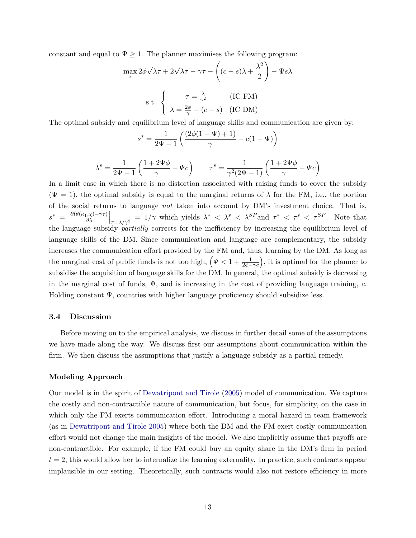constant and equal to  $\Psi \geq 1$ . The planner maximises the following program:

$$
\max_{s} 2\phi\sqrt{\lambda\tau} + 2\sqrt{\lambda\tau} - \gamma\tau - \left((c - s)\lambda + \frac{\lambda^2}{2}\right) - \Psi s\lambda
$$
  
s.t. 
$$
\begin{cases} \tau = \frac{\lambda}{\gamma^2} & (\text{IC FM}) \\ \lambda = \frac{2\phi}{\gamma} - (c - s) & (\text{IC DM}) \end{cases}
$$

The optimal subsidy and equilibrium level of language skills and communication are given by:

$$
s^* = \frac{1}{2\Psi - 1} \left( \frac{(2\phi(1 - \Psi) + 1)}{\gamma} - c(1 - \Psi) \right)
$$

$$
\lambda^s = \frac{1}{2\Psi - 1} \left( \frac{1 + 2\Psi\phi}{\gamma} - \Psi c \right) \qquad \tau^s = \frac{1}{\gamma^2 (2\Psi - 1)} \left( \frac{1 + 2\Psi\phi}{\gamma} - \Psi c \right)
$$

In a limit case in which there is no distortion associated with raising funds to cover the subsidy  $(\Psi = 1)$ , the optimal subsidy is equal to the marginal returns of  $\lambda$  for the FM, i.e., the portion of the social returns to language *not* taken into account by DM's investment choice. That is,  $s^* = \frac{\partial(\theta(\kappa_1,\chi)-\gamma\tau)}{\partial\lambda}$  $\left|\frac{\partial \lambda}{\partial \lambda} \right|_{\tau = \lambda/\gamma^2} = 1/\gamma$  which yields  $\lambda^* < \lambda^s < \lambda^{SP}$  and  $\tau^* < \tau^s < \tau^{SP}$ . Note that the language subsidy *partially* corrects for the inefficiency by increasing the equilibrium level of language skills of the DM. Since communication and language are complementary, the subsidy increases the communication effort provided by the FM and, thus, learning by the DM. As long as the marginal cost of public funds is not too high,  $(\Psi < 1 + \frac{1}{2\phi - \gamma c})$ , it is optimal for the planner to subsidise the acquisition of language skills for the DM. In general, the optimal subsidy is decreasing in the marginal cost of funds, Ψ*,* and is increasing in the cost of providing language training, *c.* Holding constant  $\Psi$ , countries with higher language proficiency should subsidize less.

### **3.4 Discussion**

Before moving on to the empirical analysis, we discuss in further detail some of the assumptions we have made along the way. We discuss first our assumptions about communication within the firm. We then discuss the assumptions that justify a language subsidy as a partial remedy.

## **Modeling Approach**

Our model is in the spirit of [Dewatripont and Tirole](#page-33-3) [\(2005\)](#page-33-3) model of communication. We capture the costly and non-contractible nature of communication, but focus, for simplicity, on the case in which only the FM exerts communication effort. Introducing a moral hazard in team framework (as in [Dewatripont and Tirole 2005\)](#page-33-3) where both the DM and the FM exert costly communication effort would not change the main insights of the model. We also implicitly assume that payoffs are non-contractible. For example, if the FM could buy an equity share in the DM's firm in period  $t = 2$ , this would allow her to internalize the learning externality. In practice, such contracts appear implausible in our setting. Theoretically, such contracts would also not restore efficiency in more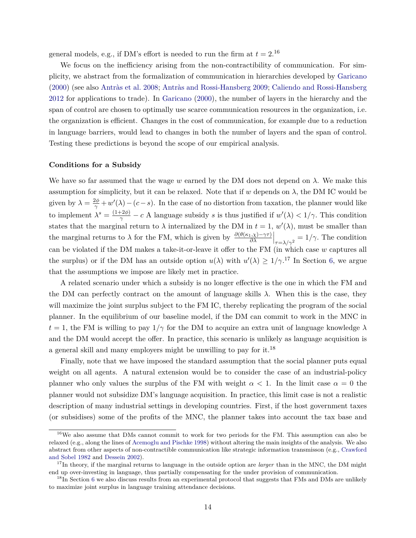general models, e.g., if DM's effort is needed to run the firm at  $t = 2$ .<sup>16</sup>

We focus on the inefficiency arising from the non-contractibility of communication. For simplicity, we abstract from the formalization of communication in hierarchies developed by [Garicano](#page-33-8) [\(2000\)](#page-33-8) (see also [Antràs et al. 2008;](#page-32-5) [Antràs and Rossi-Hansberg 2009;](#page-32-3) [Caliendo and Rossi-Hansberg](#page-33-7) [2012](#page-33-7) for applications to trade). In [Garicano](#page-33-8) [\(2000\)](#page-33-8), the number of layers in the hierarchy and the span of control are chosen to optimally use scarce communication resources in the organization, i.e. the organization is efficient. Changes in the cost of communication, for example due to a reduction in language barriers, would lead to changes in both the number of layers and the span of control. Testing these predictions is beyond the scope of our empirical analysis.

### **Conditions for a Subsidy**

We have so far assumed that the wage  $w$  earned by the DM does not depend on  $\lambda$ . We make this assumption for simplicity, but it can be relaxed. Note that if *w* depends on  $\lambda$ , the DM IC would be given by  $\lambda = \frac{2\phi}{\gamma} + w'(\lambda) - (c - s)$ . In the case of no distortion from taxation, the planner would like to implement  $\lambda^s = \frac{(1+2\phi)}{\gamma} - c$  A language subsidy *s* is thus justified if  $w'(\lambda) < 1/\gamma$ . This condition states that the marginal return to  $\lambda$  internalized by the DM in  $t = 1$ ,  $w'(\lambda)$ , must be smaller than the marginal returns to  $\lambda$  for the FM, which is given by  $\frac{\partial(\theta(\kappa_1,\chi)-\gamma\tau)}{\partial\lambda}\Big|_{\tau=\lambda/\gamma^2}=1/\gamma$ . The condition can be violated if the DM makes a take-it-or-leave it offer to the FM (in which case *w* captures all the surplus) or if the DM has an outside option  $u(\lambda)$  with  $u'(\lambda) \geq 1/\gamma$ .<sup>17</sup> In Section [6,](#page-28-0) we argue that the assumptions we impose are likely met in practice.

A related scenario under which a subsidy is no longer effective is the one in which the FM and the DM can perfectly contract on the amount of language skills  $\lambda$ . When this is the case, they will maximize the joint surplus subject to the FM IC, thereby replicating the program of the social planner. In the equilibrium of our baseline model, if the DM can commit to work in the MNC in  $t = 1$ , the FM is willing to pay  $1/\gamma$  for the DM to acquire an extra unit of language knowledge  $\lambda$ and the DM would accept the offer. In practice, this scenario is unlikely as language acquisition is a general skill and many employers might be unwilling to pay for it.<sup>18</sup>

Finally, note that we have imposed the standard assumption that the social planner puts equal weight on all agents. A natural extension would be to consider the case of an industrial-policy planner who only values the surplus of the FM with weight  $\alpha < 1$ . In the limit case  $\alpha = 0$  the planner would not subsidize DM's language acquisition. In practice, this limit case is not a realistic description of many industrial settings in developing countries. First, if the host government taxes (or subsidises) some of the profits of the MNC, the planner takes into account the tax base and

<sup>16</sup>We also assume that DMs cannot commit to work for two periods for the FM. This assumption can also be relaxed (e.g., along the lines of [Acemoglu and Pischke 1998\)](#page-31-0) without altering the main insights of the analysis. We also abstract from other aspects of non-contractible communication like strategic information transmisson (e.g., [Crawford](#page-33-1) [and Sobel 1982](#page-33-1) and [Dessein 2002\)](#page-33-2).

<sup>&</sup>lt;sup>17</sup>In theory, if the marginal returns to language in the outside option are *larger* than in the MNC, the DM might end up over-investing in language, thus partially compensating for the under provision of communication.

<sup>&</sup>lt;sup>18</sup>In Section [6](#page-28-0) we also discuss results from an experimental protocol that suggests that FMs and DMs are unlikely to maximize joint surplus in language training attendance decisions.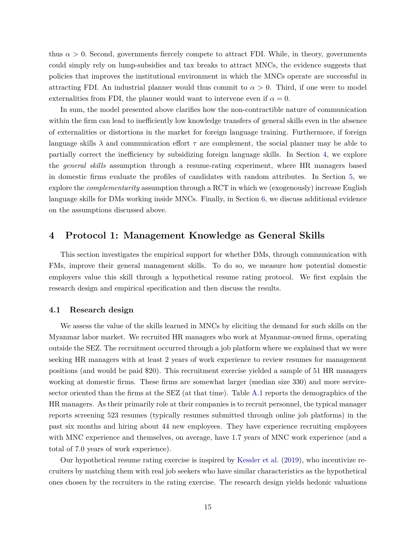thus  $\alpha > 0$ . Second, governments fiercely compete to attract FDI. While, in theory, governments could simply rely on lump-subsidies and tax breaks to attract MNCs, the evidence suggests that policies that improves the institutional environment in which the MNCs operate are successful in attracting FDI. An industrial planner would thus commit to  $\alpha > 0$ . Third, if one were to model externalities from FDI, the planner would want to intervene even if  $\alpha = 0$ .

In sum, the model presented above clarifies how the non-contractible nature of communication within the firm can lead to inefficiently low knowledge transfers of general skills even in the absence of externalities or distortions in the market for foreign language training. Furthermore, if foreign language skills  $\lambda$  and communication effort  $\tau$  are complement, the social planner may be able to partially correct the inefficiency by subsidizing foreign language skills. In Section [4,](#page-16-0) we explore the *general skills* assumption through a resume-rating experiment, where HR managers based in domestic firms evaluate the profiles of candidates with random attributes. In Section [5,](#page-21-0) we explore the *complementarity* assumption through a RCT in which we (exogenously) increase English language skills for DMs working inside MNCs. Finally, in Section [6,](#page-28-0) we discuss additional evidence on the assumptions discussed above.

# <span id="page-16-0"></span>**4 Protocol 1: Management Knowledge as General Skills**

This section investigates the empirical support for whether DMs, through communication with FMs, improve their general management skills. To do so, we measure how potential domestic employers value this skill through a hypothetical resume rating protocol. We first explain the research design and empirical specification and then discuss the results.

## **4.1 Research design**

We assess the value of the skills learned in MNCs by eliciting the demand for such skills on the Myanmar labor market. We recruited HR managers who work at Myanmar-owned firms, operating outside the SEZ. The recruitment occurred through a job platform where we explained that we were seeking HR managers with at least 2 years of work experience to review resumes for management positions (and would be paid \$20). This recruitment exercise yielded a sample of 51 HR managers working at domestic firms. These firms are somewhat larger (median size 330) and more servicesector oriented than the firms at the SEZ (at that time). Table [A.1](#page-45-0) reports the demographics of the HR managers. As their primarily role at their companies is to recruit personnel, the typical manager reports screening 523 resumes (typically resumes submitted through online job platforms) in the past six months and hiring about 44 new employees. They have experience recruiting employees with MNC experience and themselves, on average, have 1.7 years of MNC work experience (and a total of 7.0 years of work experience).

Our hypothetical resume rating exercise is inspired by [Kessler et al.](#page-34-9) [\(2019\)](#page-34-9), who incentivize recruiters by matching them with real job seekers who have similar characteristics as the hypothetical ones chosen by the recruiters in the rating exercise. The research design yields hedonic valuations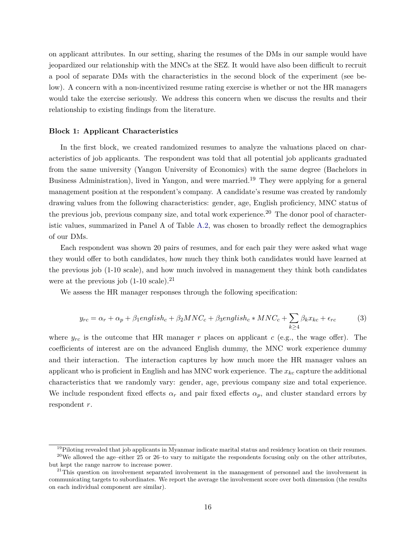on applicant attributes. In our setting, sharing the resumes of the DMs in our sample would have jeopardized our relationship with the MNCs at the SEZ. It would have also been difficult to recruit a pool of separate DMs with the characteristics in the second block of the experiment (see below). A concern with a non-incentivized resume rating exercise is whether or not the HR managers would take the exercise seriously. We address this concern when we discuss the results and their relationship to existing findings from the literature.

#### **Block 1: Applicant Characteristics**

In the first block, we created randomized resumes to analyze the valuations placed on characteristics of job applicants. The respondent was told that all potential job applicants graduated from the same university (Yangon University of Economics) with the same degree (Bachelors in Business Administration), lived in Yangon, and were married.<sup>19</sup> They were applying for a general management position at the respondent's company. A candidate's resume was created by randomly drawing values from the following characteristics: gender, age, English proficiency, MNC status of the previous job, previous company size, and total work experience.<sup>20</sup> The donor pool of characteristic values, summarized in Panel A of Table [A.2,](#page-46-0) was chosen to broadly reflect the demographics of our DMs.

Each respondent was shown 20 pairs of resumes, and for each pair they were asked what wage they would offer to both candidates, how much they think both candidates would have learned at the previous job (1-10 scale), and how much involved in management they think both candidates were at the previous job  $(1-10 \text{ scale}).^{21}$ 

We assess the HR manager responses through the following specification:

$$
y_{rc} = \alpha_r + \alpha_p + \beta_1 \text{english}_c + \beta_2 \text{MNC}_c + \beta_3 \text{english}_c * \text{MNC}_c + \sum_{k \ge 4} \beta_k x_{kc} + \epsilon_{rc}
$$
 (3)

where  $y_{rc}$  is the outcome that HR manager  $r$  places on applicant  $c$  (e.g., the wage offer). The coefficients of interest are on the advanced English dummy, the MNC work experience dummy and their interaction. The interaction captures by how much more the HR manager values an applicant who is proficient in English and has MNC work experience. The *xkc* capture the additional characteristics that we randomly vary: gender, age, previous company size and total experience. We include respondent fixed effects  $\alpha_r$  and pair fixed effects  $\alpha_p$ , and cluster standard errors by respondent *r*.

<sup>&</sup>lt;sup>19</sup>Piloting revealed that job applicants in Myanmar indicate marital status and residency location on their resumes.

 $^{20}$ We allowed the age–either 25 or 26–to vary to mitigate the respondents focusing only on the other attributes, but kept the range narrow to increase power.

 $21$ This question on involvement separated involvement in the management of personnel and the involvement in communicating targets to subordinates. We report the average the involvement score over both dimension (the results on each individual component are similar).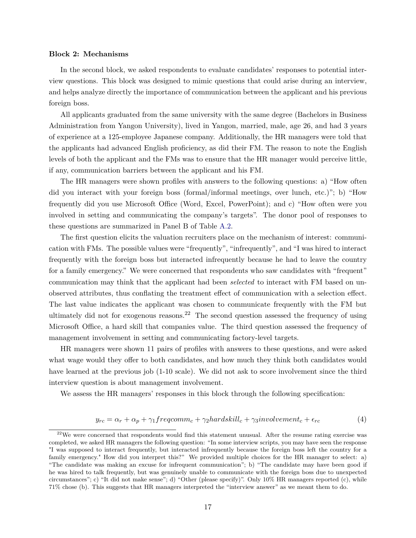### <span id="page-18-0"></span>**Block 2: Mechanisms**

In the second block, we asked respondents to evaluate candidates' responses to potential interview questions. This block was designed to mimic questions that could arise during an interview, and helps analyze directly the importance of communication between the applicant and his previous foreign boss.

All applicants graduated from the same university with the same degree (Bachelors in Business Administration from Yangon University), lived in Yangon, married, male, age 26, and had 3 years of experience at a 125-employee Japanese company. Additionally, the HR managers were told that the applicants had advanced English proficiency, as did their FM. The reason to note the English levels of both the applicant and the FMs was to ensure that the HR manager would perceive little, if any, communication barriers between the applicant and his FM.

The HR managers were shown profiles with answers to the following questions: a) "How often did you interact with your foreign boss (formal/informal meetings, over lunch, etc.)"; b) "How frequently did you use Microsoft Office (Word, Excel, PowerPoint); and c) "How often were you involved in setting and communicating the company's targets". The donor pool of responses to these questions are summarized in Panel B of Table [A.2.](#page-46-0)

The first question elicits the valuation recruiters place on the mechanism of interest: communication with FMs. The possible values were "frequently", "infrequently", and "I was hired to interact frequently with the foreign boss but interacted infrequently because he had to leave the country for a family emergency." We were concerned that respondents who saw candidates with "frequent" communication may think that the applicant had been *selected* to interact with FM based on unobserved attributes, thus conflating the treatment effect of communication with a selection effect. The last value indicates the applicant was chosen to communicate frequently with the FM but ultimately did not for exogenous reasons.<sup>22</sup> The second question assessed the frequency of using Microsoft Office, a hard skill that companies value. The third question assessed the frequency of management involvement in setting and communicating factory-level targets.

HR managers were shown 11 pairs of profiles with answers to these questions, and were asked what wage would they offer to both candidates, and how much they think both candidates would have learned at the previous job (1-10 scale). We did not ask to score involvement since the third interview question is about management involvement.

We assess the HR managers' responses in this block through the following specification:

$$
y_{rc} = \alpha_r + \alpha_p + \gamma_1 frequency_{c} + \gamma_2 \text{hard} \, \text{kill}_c + \gamma_3 \text{involvement}_c + \epsilon_{rc} \tag{4}
$$

 $22$ We were concerned that respondents would find this statement unusual. After the resume rating exercise was completed, we asked HR managers the following question: "In some interview scripts, you may have seen the response "I was supposed to interact frequently, but interacted infrequently because the foreign boss left the country for a family emergency." How did you interpret this?" We provided multiple choices for the HR manager to select: a) "The candidate was making an excuse for infrequent communication"; b) "The candidate may have been good if he was hired to talk frequently, but was genuinely unable to communicate with the foreign boss due to unexpected circumstances"; c) "It did not make sense"; d) "Other (please specify)". Only 10% HR managers reported (c), while 71% chose (b). This suggests that HR managers interpreted the "interview answer" as we meant them to do.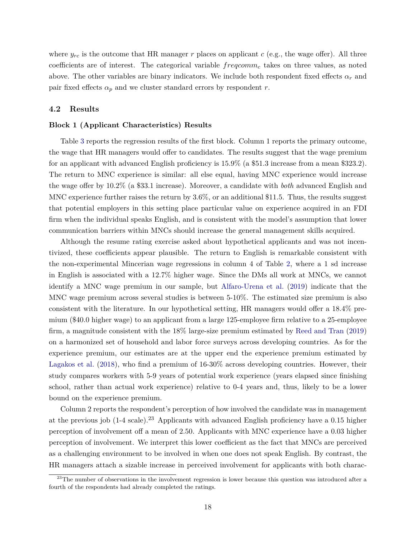where  $y_{rc}$  is the outcome that HR manager  $r$  places on applicant  $c$  (e.g., the wage offer). All three coefficients are of interest. The categorical variable *freqcomm<sup>c</sup>* takes on three values, as noted above. The other variables are binary indicators. We include both respondent fixed effects *α<sup>r</sup>* and pair fixed effects  $\alpha_p$  and we cluster standard errors by respondent *r*.

### **4.2 Results**

### **Block 1 (Applicant Characteristics) Results**

Table [3](#page-38-0) reports the regression results of the first block. Column 1 reports the primary outcome, the wage that HR managers would offer to candidates. The results suggest that the wage premium for an applicant with advanced English proficiency is 15.9% (a \$51.3 increase from a mean \$323.2). The return to MNC experience is similar: all else equal, having MNC experience would increase the wage offer by 10.2% (a \$33.1 increase). Moreover, a candidate with *both* advanced English and MNC experience further raises the return by 3.6%, or an additional \$11.5. Thus, the results suggest that potential employers in this setting place particular value on experience acquired in an FDI firm when the individual speaks English, and is consistent with the model's assumption that lower communication barriers within MNCs should increase the general management skills acquired.

Although the resume rating exercise asked about hypothetical applicants and was not incentivized, these coefficients appear plausible. The return to English is remarkable consistent with the non-experimental Mincerian wage regressions in column 4 of Table [2,](#page-37-0) where a 1 sd increase in English is associated with a 12.7% higher wage. Since the DMs all work at MNCs, we cannot identify a MNC wage premium in our sample, but [Alfaro-Urena et al.](#page-31-4) [\(2019\)](#page-31-4) indicate that the MNC wage premium across several studies is between 5-10%. The estimated size premium is also consistent with the literature. In our hypothetical setting, HR managers would offer a 18.4% premium (\$40.0 higher wage) to an applicant from a large 125-employee firm relative to a 25-employee firm, a magnitude consistent with the 18% large-size premium estimated by [Reed and Tran](#page-35-11) [\(2019\)](#page-35-11) on a harmonized set of household and labor force surveys across developing countries. As for the experience premium, our estimates are at the upper end the experience premium estimated by [Lagakos et al.](#page-34-10) [\(2018\)](#page-34-10), who find a premium of 16-30% across developing countries. However, their study compares workers with 5-9 years of potential work experience (years elapsed since finishing school, rather than actual work experience) relative to 0-4 years and, thus, likely to be a lower bound on the experience premium.

Column 2 reports the respondent's perception of how involved the candidate was in management at the previous job (1-4 scale).<sup>23</sup> Applicants with advanced English proficiency have a 0.15 higher perception of involvement off a mean of 2.50. Applicants with MNC experience have a 0.03 higher perception of involvement. We interpret this lower coefficient as the fact that MNCs are perceived as a challenging environment to be involved in when one does not speak English. By contrast, the HR managers attach a sizable increase in perceived involvement for applicants with both charac-

 $^{23}$ The number of observations in the involvement regression is lower because this question was introduced after a fourth of the respondents had already completed the ratings.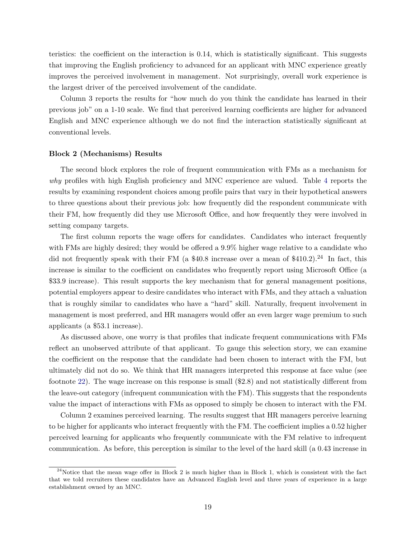teristics: the coefficient on the interaction is 0.14, which is statistically significant. This suggests that improving the English proficiency to advanced for an applicant with MNC experience greatly improves the perceived involvement in management. Not surprisingly, overall work experience is the largest driver of the perceived involvement of the candidate.

Column 3 reports the results for "how much do you think the candidate has learned in their previous job" on a 1-10 scale. We find that perceived learning coefficients are higher for advanced English and MNC experience although we do not find the interaction statistically significant at conventional levels.

### **Block 2 (Mechanisms) Results**

The second block explores the role of frequent communication with FMs as a mechanism for *why* profiles with high English proficiency and MNC experience are valued. Table [4](#page-39-0) reports the results by examining respondent choices among profile pairs that vary in their hypothetical answers to three questions about their previous job: how frequently did the respondent communicate with their FM, how frequently did they use Microsoft Office, and how frequently they were involved in setting company targets.

The first column reports the wage offers for candidates. Candidates who interact frequently with FMs are highly desired; they would be offered a 9.9% higher wage relative to a candidate who did not frequently speak with their FM (a  $$40.8$  increase over a mean of  $$410.2$ ).<sup>24</sup> In fact, this increase is similar to the coefficient on candidates who frequently report using Microsoft Office (a \$33.9 increase). This result supports the key mechanism that for general management positions, potential employers appear to desire candidates who interact with FMs, and they attach a valuation that is roughly similar to candidates who have a "hard" skill. Naturally, frequent involvement in management is most preferred, and HR managers would offer an even larger wage premium to such applicants (a \$53.1 increase).

As discussed above, one worry is that profiles that indicate frequent communications with FMs reflect an unobserved attribute of that applicant. To gauge this selection story, we can examine the coefficient on the response that the candidate had been chosen to interact with the FM, but ultimately did not do so. We think that HR managers interpreted this response at face value (see footnote [22\)](#page-18-0). The wage increase on this response is small (\$2.8) and not statistically different from the leave-out category (infrequent communication with the FM). This suggests that the respondents value the impact of interactions with FMs as opposed to simply be chosen to interact with the FM.

Column 2 examines perceived learning. The results suggest that HR managers perceive learning to be higher for applicants who interact frequently with the FM. The coefficient implies a 0.52 higher perceived learning for applicants who frequently communicate with the FM relative to infrequent communication. As before, this perception is similar to the level of the hard skill (a 0.43 increase in

 $24$ Notice that the mean wage offer in Block 2 is much higher than in Block 1, which is consistent with the fact that we told recruiters these candidates have an Advanced English level and three years of experience in a large establishment owned by an MNC.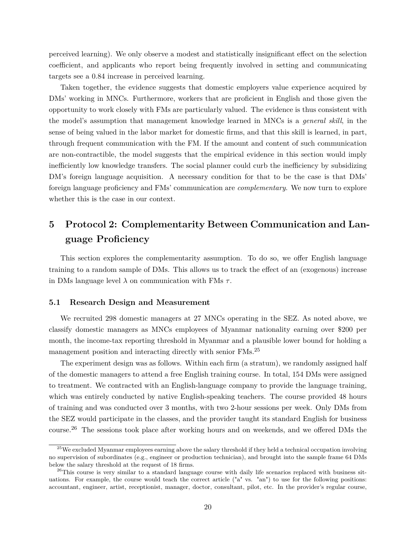perceived learning). We only observe a modest and statistically insignificant effect on the selection coefficient, and applicants who report being frequently involved in setting and communicating targets see a 0.84 increase in perceived learning.

Taken together, the evidence suggests that domestic employers value experience acquired by DMs' working in MNCs. Furthermore, workers that are proficient in English and those given the opportunity to work closely with FMs are particularly valued. The evidence is thus consistent with the model's assumption that management knowledge learned in MNCs is a *general skill*, in the sense of being valued in the labor market for domestic firms, and that this skill is learned, in part, through frequent communication with the FM. If the amount and content of such communication are non-contractible, the model suggests that the empirical evidence in this section would imply inefficiently low knowledge transfers. The social planner could curb the inefficiency by subsidizing DM's foreign language acquisition. A necessary condition for that to be the case is that DMs' foreign language proficiency and FMs' communication are *complementary*. We now turn to explore whether this is the case in our context.

# <span id="page-21-0"></span>**5 Protocol 2: Complementarity Between Communication and Language Proficiency**

This section explores the complementarity assumption. To do so, we offer English language training to a random sample of DMs. This allows us to track the effect of an (exogenous) increase in DMs language level *λ* on communication with FMs *τ* .

## **5.1 Research Design and Measurement**

We recruited 298 domestic managers at 27 MNCs operating in the SEZ. As noted above, we classify domestic managers as MNCs employees of Myanmar nationality earning over \$200 per month, the income-tax reporting threshold in Myanmar and a plausible lower bound for holding a management position and interacting directly with senior FMs.<sup>25</sup>

The experiment design was as follows. Within each firm (a stratum), we randomly assigned half of the domestic managers to attend a free English training course. In total, 154 DMs were assigned to treatment. We contracted with an English-language company to provide the language training, which was entirely conducted by native English-speaking teachers. The course provided 48 hours of training and was conducted over 3 months, with two 2-hour sessions per week. Only DMs from the SEZ would participate in the classes, and the provider taught its standard English for business course.<sup>26</sup> The sessions took place after working hours and on weekends, and we offered DMs the

 $^{25}$ We excluded Myanmar employees earning above the salary threshold if they held a technical occupation involving no supervision of subordinates (e.g., engineer or production technician), and brought into the sample frame 64 DMs below the salary threshold at the request of 18 firms.

 $^{26}$ This course is very similar to a standard language course with daily life scenarios replaced with business situations. For example, the course would teach the correct article ("a" vs. "an") to use for the following positions: accountant, engineer, artist, receptionist, manager, doctor, consultant, pilot, etc. In the provider's regular course,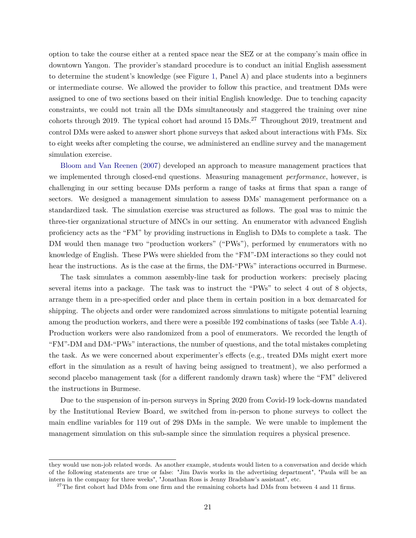option to take the course either at a rented space near the SEZ or at the company's main office in downtown Yangon. The provider's standard procedure is to conduct an initial English assessment to determine the student's knowledge (see Figure [1,](#page-44-0) Panel A) and place students into a beginners or intermediate course. We allowed the provider to follow this practice, and treatment DMs were assigned to one of two sections based on their initial English knowledge. Due to teaching capacity constraints, we could not train all the DMs simultaneously and staggered the training over nine cohorts through 2019. The typical cohort had around 15 DMs.<sup>27</sup> Throughout 2019, treatment and control DMs were asked to answer short phone surveys that asked about interactions with FMs. Six to eight weeks after completing the course, we administered an endline survey and the management simulation exercise.

[Bloom and Van Reenen](#page-33-9) [\(2007\)](#page-33-9) developed an approach to measure management practices that we implemented through closed-end questions. Measuring management *performance*, however, is challenging in our setting because DMs perform a range of tasks at firms that span a range of sectors. We designed a management simulation to assess DMs' management performance on a standardized task. The simulation exercise was structured as follows. The goal was to mimic the three-tier organizational structure of MNCs in our setting. An enumerator with advanced English proficiency acts as the "FM" by providing instructions in English to DMs to complete a task. The DM would then manage two "production workers" ("PWs"), performed by enumerators with no knowledge of English. These PWs were shielded from the "FM"-DM interactions so they could not hear the instructions. As is the case at the firms, the DM-"PWs" interactions occurred in Burmese.

The task simulates a common assembly-line task for production workers: precisely placing several items into a package. The task was to instruct the "PWs" to select 4 out of 8 objects, arrange them in a pre-specified order and place them in certain position in a box demarcated for shipping. The objects and order were randomized across simulations to mitigate potential learning among the production workers, and there were a possible 192 combinations of tasks (see Table [A.4\)](#page-48-0). Production workers were also randomized from a pool of enumerators. We recorded the length of "FM"-DM and DM-"PWs" interactions, the number of questions, and the total mistakes completing the task. As we were concerned about experimenter's effects (e.g., treated DMs might exert more effort in the simulation as a result of having being assigned to treatment), we also performed a second placebo management task (for a different randomly drawn task) where the "FM" delivered the instructions in Burmese.

Due to the suspension of in-person surveys in Spring 2020 from Covid-19 lock-downs mandated by the Institutional Review Board, we switched from in-person to phone surveys to collect the main endline variables for 119 out of 298 DMs in the sample. We were unable to implement the management simulation on this sub-sample since the simulation requires a physical presence.

they would use non-job related words. As another example, students would listen to a conversation and decide which of the following statements are true or false: "Jim Davis works in the advertising department", "Paula will be an intern in the company for three weeks", "Jonathan Ross is Jenny Bradshaw's assistant", etc.

 $27$ The first cohort had DMs from one firm and the remaining cohorts had DMs from between 4 and 11 firms.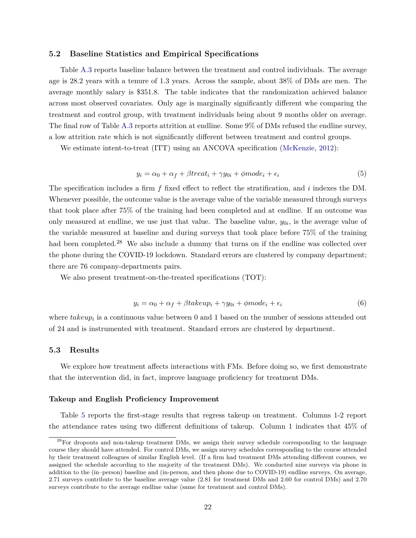## **5.2 Baseline Statistics and Empirical Specifications**

Table [A.3](#page-47-0) reports baseline balance between the treatment and control individuals. The average age is 28.2 years with a tenure of 1.3 years. Across the sample, about 38% of DMs are men. The average monthly salary is \$351.8. The table indicates that the randomization achieved balance across most observed covariates. Only age is marginally significantly different whe comparing the treatment and control group, with treatment individuals being about 9 months older on average. The final row of Table [A.3](#page-47-0) reports attrition at endline. Some 9% of DMs refused the endline survey, a low attrition rate which is not significantly different between treatment and control groups.

We estimate intent-to-treat (ITT) using an ANCOVA specification [\(McKenzie,](#page-34-11) [2012\)](#page-34-11):

$$
y_i = \alpha_0 + \alpha_f + \beta treat_i + \gamma y_{0i} + \phi mode_i + \epsilon_i \tag{5}
$$

The specification includes a firm *f* fixed effect to reflect the stratification, and *i* indexes the DM. Whenever possible, the outcome value is the average value of the variable measured through surveys that took place after 75% of the training had been completed and at endline. If an outcome was only measured at endline, we use just that value. The baseline value,  $y_{0i}$ , is the average value of the variable measured at baseline and during surveys that took place before 75% of the training had been completed.<sup>28</sup> We also include a dummy that turns on if the endline was collected over the phone during the COVID-19 lockdown. Standard errors are clustered by company department; there are 76 company-departments pairs.

We also present treatment-on-the-treated specifications (TOT):

$$
y_i = \alpha_0 + \alpha_f + \beta takeup_i + \gamma y_{0i} + \phi mode_i + \epsilon_i \tag{6}
$$

where  $takeup_i$  is a continuous value between 0 and 1 based on the number of sessions attended out of 24 and is instrumented with treatment. Standard errors are clustered by department.

### **5.3 Results**

We explore how treatment affects interactions with FMs. Before doing so, we first demonstrate that the intervention did, in fact, improve language proficiency for treatment DMs.

### **Takeup and English Proficiency Improvement**

Table [5](#page-40-0) reports the first-stage results that regress takeup on treatment. Columns 1-2 report the attendance rates using two different definitions of takeup. Column 1 indicates that 45% of

<sup>&</sup>lt;sup>28</sup>For dropouts and non-takeup treatment DMs, we assign their survey schedule corresponding to the language course they should have attended. For control DMs, we assign survey schedules corresponding to the course attended by their treatment colleagues of similar English level. (If a firm had treatment DMs attending different courses, we assigned the schedule according to the majority of the treatment DMs). We conducted nine surveys via phone in addition to the (in–person) baseline and (in-person, and then phone due to COVID-19) endline surveys. On average, 2.71 surveys contribute to the baseline average value (2.81 for treatment DMs and 2.60 for control DMs) and 2.70 surveys contribute to the average endline value (same for treatment and control DMs).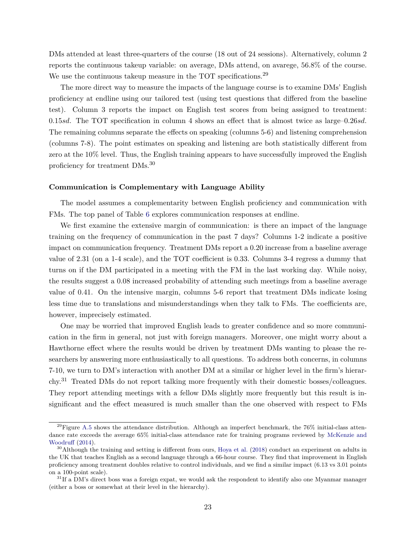DMs attended at least three-quarters of the course (18 out of 24 sessions). Alternatively, column 2 reports the continuous takeup variable: on average, DMs attend, on avarege, 56.8% of the course. We use the continuous takeup measure in the TOT specifications.<sup>29</sup>

The more direct way to measure the impacts of the language course is to examine DMs' English proficiency at endline using our tailored test (using test questions that differed from the baseline test). Column 3 reports the impact on English test scores from being assigned to treatment: 0.15*sd*. The TOT specification in column 4 shows an effect that is almost twice as large–0.26*sd*. The remaining columns separate the effects on speaking (columns 5-6) and listening comprehension (columns 7-8). The point estimates on speaking and listening are both statistically different from zero at the 10% level. Thus, the English training appears to have successfully improved the English proficiency for treatment DMs.<sup>30</sup>

### **Communication is Complementary with Language Ability**

The model assumes a complementarity between English proficiency and communication with FMs. The top panel of Table [6](#page-41-0) explores communication responses at endline.

We first examine the extensive margin of communication: is there an impact of the language training on the frequency of communication in the past 7 days? Columns 1-2 indicate a positive impact on communication frequency. Treatment DMs report a 0.20 increase from a baseline average value of 2.31 (on a 1-4 scale), and the TOT coefficient is 0.33. Columns 3-4 regress a dummy that turns on if the DM participated in a meeting with the FM in the last working day. While noisy, the results suggest a 0.08 increased probability of attending such meetings from a baseline average value of 0.41. On the intensive margin, columns 5-6 report that treatment DMs indicate losing less time due to translations and misunderstandings when they talk to FMs. The coefficients are, however, imprecisely estimated.

One may be worried that improved English leads to greater confidence and so more communication in the firm in general, not just with foreign managers. Moreover, one might worry about a Hawthorne effect where the results would be driven by treatment DMs wanting to please the researchers by answering more enthusiastically to all questions. To address both concerns, in columns 7-10, we turn to DM's interaction with another DM at a similar or higher level in the firm's hierarchy.<sup>31</sup> Treated DMs do not report talking more frequently with their domestic bosses/colleagues. They report attending meetings with a fellow DMs slightly more frequently but this result is insignificant and the effect measured is much smaller than the one observed with respect to FMs

 $^{29}$ Figure [A.5](#page-56-0) shows the attendance distribution. Although an imperfect benchmark, the 76% initial-class attendance rate exceeds the average 65% initial-class attendance rate for training programs reviewed by [McKenzie and](#page-35-12) [Woodruff](#page-35-12) [\(2014\)](#page-35-12).

 $30$ Although the training and setting is different from ours, [Hoya et al.](#page-34-12) [\(2018\)](#page-34-12) conduct an experiment on adults in the UK that teaches English as a second language through a 66-hour course. They find that improvement in English proficiency among treatment doubles relative to control individuals, and we find a similar impact (6.13 vs 3.01 points on a 100-point scale).

 $31$ If a DM's direct boss was a foreign expat, we would ask the respondent to identify also one Myanmar manager (either a boss or somewhat at their level in the hierarchy).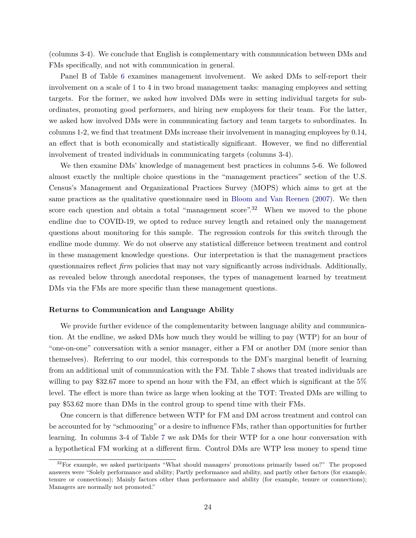(columns 3-4). We conclude that English is complementary with communication between DMs and FMs specifically, and not with communication in general.

Panel B of Table [6](#page-41-0) examines management involvement. We asked DMs to self-report their involvement on a scale of 1 to 4 in two broad management tasks: managing employees and setting targets. For the former, we asked how involved DMs were in setting individual targets for subordinates, promoting good performers, and hiring new employees for their team. For the latter, we asked how involved DMs were in communicating factory and team targets to subordinates. In columns 1-2, we find that treatment DMs increase their involvement in managing employees by 0.14, an effect that is both economically and statistically significant. However, we find no differential involvement of treated individuals in communicating targets (columns 3-4).

We then examine DMs' knowledge of management best practices in columns 5-6. We followed almost exactly the multiple choice questions in the "management practices" section of the U.S. Census's Management and Organizational Practices Survey (MOPS) which aims to get at the same practices as the qualitative questionnaire used in [Bloom and Van Reenen](#page-33-9) [\(2007\)](#page-33-9). We then score each question and obtain a total "management score".<sup>32</sup> When we moved to the phone endline due to COVID-19, we opted to reduce survey length and retained only the management questions about monitoring for this sample. The regression controls for this switch through the endline mode dummy. We do not observe any statistical difference between treatment and control in these management knowledge questions. Our interpretation is that the management practices questionnaires reflect *firm* policies that may not vary significantly across individuals. Additionally, as revealed below through anecdotal responses, the types of management learned by treatment DMs via the FMs are more specific than these management questions.

### <span id="page-25-0"></span>**Returns to Communication and Language Ability**

We provide further evidence of the complementarity between language ability and communication. At the endline, we asked DMs how much they would be willing to pay (WTP) for an hour of "one-on-one" conversation with a senior manager, either a FM or another DM (more senior than themselves). Referring to our model, this corresponds to the DM's marginal benefit of learning from an additional unit of communication with the FM. Table [7](#page-42-0) shows that treated individuals are willing to pay \$32.67 more to spend an hour with the FM, an effect which is significant at the 5% level. The effect is more than twice as large when looking at the TOT: Treated DMs are willing to pay \$53.62 more than DMs in the control group to spend time with their FMs.

One concern is that difference between WTP for FM and DM across treatment and control can be accounted for by "schmoozing" or a desire to influence FMs, rather than opportunities for further learning. In columns 3-4 of Table [7](#page-42-0) we ask DMs for their WTP for a one hour conversation with a hypothetical FM working at a different firm. Control DMs are WTP less money to spend time

<sup>&</sup>lt;sup>32</sup>For example, we asked participants "What should managers' promotions primarily based on?" The proposed answers were "Solely performance and ability; Partly performance and ability, and partly other factors (for example, tenure or connections); Mainly factors other than performance and ability (for example, tenure or connections); Managers are normally not promoted."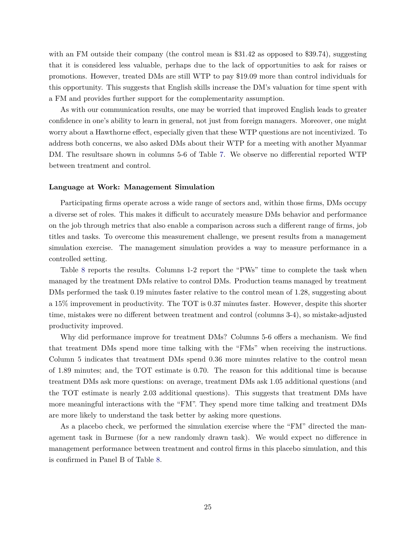with an FM outside their company (the control mean is \$31.42 as opposed to \$39.74), suggesting that it is considered less valuable, perhaps due to the lack of opportunities to ask for raises or promotions. However, treated DMs are still WTP to pay \$19.09 more than control individuals for this opportunity. This suggests that English skills increase the DM's valuation for time spent with a FM and provides further support for the complementarity assumption.

As with our communication results, one may be worried that improved English leads to greater confidence in one's ability to learn in general, not just from foreign managers. Moreover, one might worry about a Hawthorne effect, especially given that these WTP questions are not incentivized. To address both concerns, we also asked DMs about their WTP for a meeting with another Myanmar DM. The resultsare shown in columns 5-6 of Table [7.](#page-42-0) We observe no differential reported WTP between treatment and control.

### <span id="page-26-0"></span>**Language at Work: Management Simulation**

Participating firms operate across a wide range of sectors and, within those firms, DMs occupy a diverse set of roles. This makes it difficult to accurately measure DMs behavior and performance on the job through metrics that also enable a comparison across such a different range of firms, job titles and tasks. To overcome this measurement challenge, we present results from a management simulation exercise. The management simulation provides a way to measure performance in a controlled setting.

Table [8](#page-43-0) reports the results. Columns 1-2 report the "PWs" time to complete the task when managed by the treatment DMs relative to control DMs. Production teams managed by treatment DMs performed the task 0.19 minutes faster relative to the control mean of 1.28, suggesting about a 15% improvement in productivity. The TOT is 0.37 minutes faster. However, despite this shorter time, mistakes were no different between treatment and control (columns 3-4), so mistake-adjusted productivity improved.

Why did performance improve for treatment DMs? Columns 5-6 offers a mechanism. We find that treatment DMs spend more time talking with the "FMs" when receiving the instructions. Column 5 indicates that treatment DMs spend 0.36 more minutes relative to the control mean of 1.89 minutes; and, the TOT estimate is 0.70. The reason for this additional time is because treatment DMs ask more questions: on average, treatment DMs ask 1.05 additional questions (and the TOT estimate is nearly 2.03 additional questions). This suggests that treatment DMs have more meaningful interactions with the "FM". They spend more time talking and treatment DMs are more likely to understand the task better by asking more questions.

As a placebo check, we performed the simulation exercise where the "FM" directed the management task in Burmese (for a new randomly drawn task). We would expect no difference in management performance between treatment and control firms in this placebo simulation, and this is confirmed in Panel B of Table [8.](#page-43-0)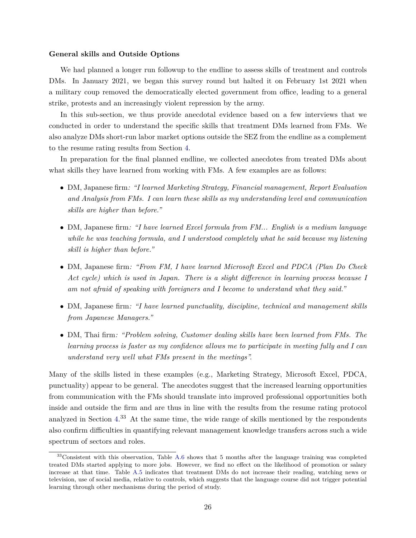### **General skills and Outside Options**

We had planned a longer run followup to the endline to assess skills of treatment and controls DMs. In January 2021, we began this survey round but halted it on February 1st 2021 when a military coup removed the democratically elected government from office, leading to a general strike, protests and an increasingly violent repression by the army.

In this sub-section, we thus provide anecdotal evidence based on a few interviews that we conducted in order to understand the specific skills that treatment DMs learned from FMs. We also analyze DMs short-run labor market options outside the SEZ from the endline as a complement to the resume rating results from Section [4.](#page-16-0)

In preparation for the final planned endline, we collected anecdotes from treated DMs about what skills they have learned from working with FMs. A few examples are as follows:

- DM, Japanese firm*: "I learned Marketing Strategy, Financial management, Report Evaluation and Analysis from FMs. I can learn these skills as my understanding level and communication skills are higher than before."*
- DM, Japanese firm*: "I have learned Excel formula from FM... English is a medium language while he was teaching formula, and I understood completely what he said because my listening skill is higher than before."*
- DM, Japanese firm*: "From FM, I have learned Microsoft Excel and PDCA (Plan Do Check Act cycle) which is used in Japan. There is a slight difference in learning process because I am not afraid of speaking with foreigners and I become to understand what they said."*
- DM, Japanese firm*: "I have learned punctuality, discipline, technical and management skills from Japanese Managers."*
- DM, Thai firm*: "Problem solving, Customer dealing skills have been learned from FMs. The learning process is faster as my confidence allows me to participate in meeting fully and I can understand very well what FMs present in the meetings".*

Many of the skills listed in these examples (e.g., Marketing Strategy, Microsoft Excel, PDCA, punctuality) appear to be general. The anecdotes suggest that the increased learning opportunities from communication with the FMs should translate into improved professional opportunities both inside and outside the firm and are thus in line with the results from the resume rating protocol analyzed in Section [4.](#page-16-0) <sup>33</sup> At the same time, the wide range of skills mentioned by the respondents also confirm difficulties in quantifying relevant management knowledge transfers across such a wide spectrum of sectors and roles.

<sup>&</sup>lt;sup>33</sup>Consistent with this observation, Table [A.6](#page-50-0) shows that 5 months after the language training was completed treated DMs started applying to more jobs. However, we find no effect on the likelihood of promotion or salary increase at that time. Table [A.5](#page-49-0) indicates that treatment DMs do not increase their reading, watching news or television, use of social media, relative to controls, which suggests that the language course did not trigger potential learning through other mechanisms during the period of study.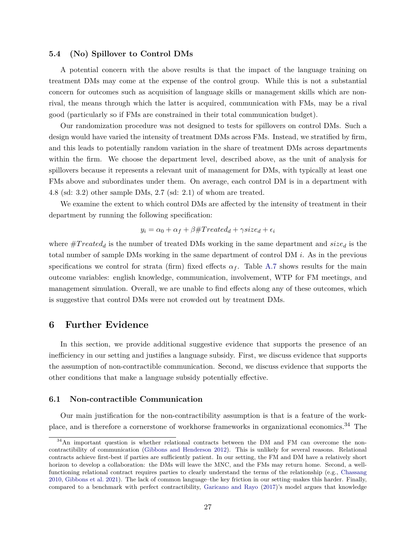## **5.4 (No) Spillover to Control DMs**

A potential concern with the above results is that the impact of the language training on treatment DMs may come at the expense of the control group. While this is not a substantial concern for outcomes such as acquisition of language skills or management skills which are nonrival, the means through which the latter is acquired, communication with FMs, may be a rival good (particularly so if FMs are constrained in their total communication budget).

Our randomization procedure was not designed to tests for spillovers on control DMs. Such a design would have varied the intensity of treatment DMs across FMs. Instead, we stratified by firm, and this leads to potentially random variation in the share of treatment DMs across departments within the firm. We choose the department level, described above, as the unit of analysis for spillovers because it represents a relevant unit of management for DMs, with typically at least one FMs above and subordinates under them. On average, each control DM is in a department with 4.8 (sd: 3.2) other sample DMs, 2.7 (sd: 2.1) of whom are treated.

We examine the extent to which control DMs are affected by the intensity of treatment in their department by running the following specification:

$$
y_i = \alpha_0 + \alpha_f + \beta \# Treated_d + \gamma size_d + \epsilon_i
$$

where  $\#Treated_d$  is the number of treated DMs working in the same department and  $size_d$  is the total number of sample DMs working in the same department of control DM *i*. As in the previous specifications we control for strata (firm) fixed effects  $\alpha_f$ . Table [A.7](#page-51-0) shows results for the main outcome variables: english knowledge, communication, involvement, WTP for FM meetings, and management simulation. Overall, we are unable to find effects along any of these outcomes, which is suggestive that control DMs were not crowded out by treatment DMs.

# <span id="page-28-0"></span>**6 Further Evidence**

In this section, we provide additional suggestive evidence that supports the presence of an inefficiency in our setting and justifies a language subsidy. First, we discuss evidence that supports the assumption of non-contractible communication. Second, we discuss evidence that supports the other conditions that make a language subsidy potentially effective.

## **6.1 Non-contractible Communication**

Our main justification for the non-contractibility assumption is that is a feature of the workplace, and is therefore a cornerstone of workhorse frameworks in organizational economics.<sup>34</sup> The

 $34$ An important question is whether relational contracts between the DM and FM can overcome the noncontractibility of communication [\(Gibbons and Henderson 2012\)](#page-33-0). This is unlikely for several reasons. Relational contracts achieve first-best if parties are sufficiently patient. In our setting, the FM and DM have a relatively short horizon to develop a collaboration: the DMs will leave the MNC, and the FMs may return home. Second, a wellfunctioning relational contract requires parties to clearly understand the terms of the relationship (e.g., [Chassang](#page-33-13) [2010,](#page-33-13) [Gibbons et al. 2021\)](#page-34-13). The lack of common language–the key friction in our setting–makes this harder. Finally, compared to a benchmark with perfect contractibility, [Garicano and Rayo](#page-33-14) [\(2017\)](#page-33-14)'s model argues that knowledge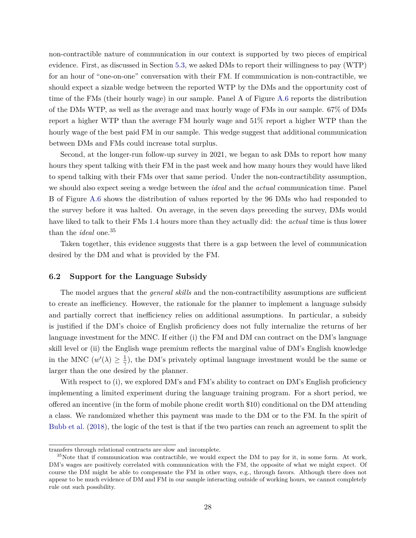non-contractible nature of communication in our context is supported by two pieces of empirical evidence. First, as discussed in Section [5.3,](#page-25-0) we asked DMs to report their willingness to pay (WTP) for an hour of "one-on-one" conversation with their FM. If communication is non-contractible, we should expect a sizable wedge between the reported WTP by the DMs and the opportunity cost of time of the FMs (their hourly wage) in our sample. Panel A of Figure [A.6](#page-57-0) reports the distribution of the DMs WTP, as well as the average and max hourly wage of FMs in our sample. 67% of DMs report a higher WTP than the average FM hourly wage and 51% report a higher WTP than the hourly wage of the best paid FM in our sample. This wedge suggest that additional communication between DMs and FMs could increase total surplus.

Second, at the longer-run follow-up survey in 2021, we began to ask DMs to report how many hours they spent talking with their FM in the past week and how many hours they would have liked to spend talking with their FMs over that same period. Under the non-contractibility assumption, we should also expect seeing a wedge between the *ideal* and the *actual* communication time. Panel B of Figure [A.6](#page-57-0) shows the distribution of values reported by the 96 DMs who had responded to the survey before it was halted. On average, in the seven days preceding the survey, DMs would have liked to talk to their FMs 1.4 hours more than they actually did: the *actual* time is thus lower than the *ideal* one.<sup>35</sup>

Taken together, this evidence suggests that there is a gap between the level of communication desired by the DM and what is provided by the FM.

## **6.2 Support for the Language Subsidy**

The model argues that the *general skills* and the non-contractibility assumptions are sufficient to create an inefficiency. However, the rationale for the planner to implement a language subsidy and partially correct that inefficiency relies on additional assumptions. In particular, a subsidy is justified if the DM's choice of English proficiency does not fully internalize the returns of her language investment for the MNC. If either (i) the FM and DM can contract on the DM's language skill level or (ii) the English wage premium reflects the marginal value of DM's English knowledge in the MNC  $(w'(\lambda)) \geq \frac{1}{\alpha}$  $\frac{1}{\gamma}$ ), the DM's privately optimal language investment would be the same or larger than the one desired by the planner.

With respect to (i), we explored DM's and FM's ability to contract on DM's English proficiency implementing a limited experiment during the language training program. For a short period, we offered an incentive (in the form of mobile phone credit worth \$10) conditional on the DM attending a class. We randomized whether this payment was made to the DM or to the FM. In the spirit of [Bubb et al.](#page-33-15) [\(2018\)](#page-33-15), the logic of the test is that if the two parties can reach an agreement to split the

transfers through relational contracts are slow and incomplete.

 $35$ Note that if communication was contractible, we would expect the DM to pay for it, in some form. At work, DM's wages are positively correlated with communication with the FM, the opposite of what we might expect. Of course the DM might be able to compensate the FM in other ways, e.g., through favors. Although there does not appear to be much evidence of DM and FM in our sample interacting outside of working hours, we cannot completely rule out such possibility.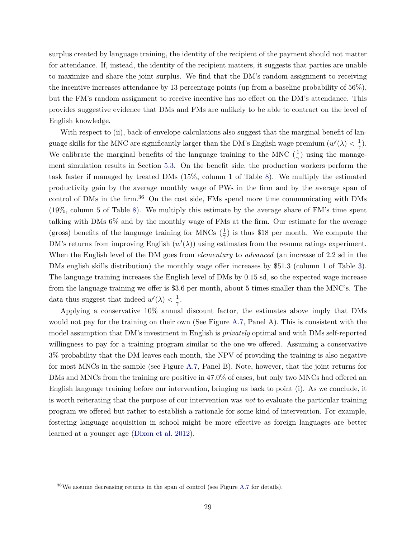surplus created by language training, the identity of the recipient of the payment should not matter for attendance. If, instead, the identity of the recipient matters, it suggests that parties are unable to maximize and share the joint surplus. We find that the DM's random assignment to receiving the incentive increases attendance by 13 percentage points (up from a baseline probability of 56%), but the FM's random assignment to receive incentive has no effect on the DM's attendance. This provides suggestive evidence that DMs and FMs are unlikely to be able to contract on the level of English knowledge.

With respect to (ii), back-of-envelope calculations also suggest that the marginal benefit of language skills for the MNC are significantly larger than the DM's English wage premium  $(w'(\lambda) < \frac{1}{\alpha})$ *γ* ). We calibrate the marginal benefits of the language training to the MNC  $(\frac{1}{\gamma})$  using the management simulation results in Section [5.3.](#page-26-0) On the benefit side, the production workers perform the task faster if managed by treated DMs (15%, column 1 of Table [8\)](#page-43-0). We multiply the estimated productivity gain by the average monthly wage of PWs in the firm and by the average span of control of DMs in the firm.<sup>36</sup> On the cost side, FMs spend more time communicating with DMs (19%, column 5 of Table [8\)](#page-43-0). We multiply this estimate by the average share of FM's time spent talking with DMs 6% and by the monthly wage of FMs at the firm. Our estimate for the average (gross) benefits of the language training for MNCs  $(\frac{1}{\gamma})$  is thus \$18 per month. We compute the DM's returns from improving English  $(w'(\lambda))$  using estimates from the resume ratings experiment. When the English level of the DM goes from *elementary* to *advanced* (an increase of 2.2 sd in the DMs english skills distribution) the monthly wage offer increases by \$51.3 (column 1 of Table [3\)](#page-38-0). The language training increases the English level of DMs by 0.15 sd, so the expected wage increase from the language training we offer is \$3.6 per month, about 5 times smaller than the MNC's. The data thus suggest that indeed  $w'(\lambda) < \frac{1}{\gamma}$ *γ* .

Applying a conservative 10% annual discount factor, the estimates above imply that DMs would not pay for the training on their own (See Figure [A.7,](#page-58-0) Panel A). This is consistent with the model assumption that DM's investment in English is *privately* optimal and with DMs self-reported willingness to pay for a training program similar to the one we offered. Assuming a conservative 3% probability that the DM leaves each month, the NPV of providing the training is also negative for most MNCs in the sample (see Figure [A.7,](#page-58-0) Panel B). Note, however, that the joint returns for DMs and MNCs from the training are positive in 47.0% of cases, but only two MNCs had offered an English language training before our intervention, bringing us back to point (i). As we conclude, it is worth reiterating that the purpose of our intervention was *not* to evaluate the particular training program we offered but rather to establish a rationale for some kind of intervention. For example, fostering language acquisition in school might be more effective as foreign languages are better learned at a younger age [\(Dixon et al. 2012\)](#page-33-5).

<sup>36</sup>We assume decreasing returns in the span of control (see Figure [A.7](#page-58-0) for details).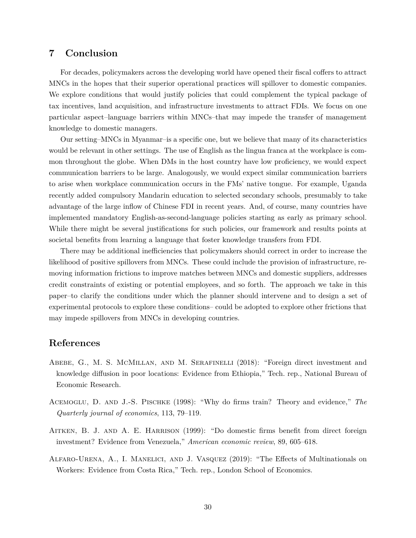# <span id="page-31-3"></span>**7 Conclusion**

For decades, policymakers across the developing world have opened their fiscal coffers to attract MNCs in the hopes that their superior operational practices will spillover to domestic companies. We explore conditions that would justify policies that could complement the typical package of tax incentives, land acquisition, and infrastructure investments to attract FDIs. We focus on one particular aspect–language barriers within MNCs–that may impede the transfer of management knowledge to domestic managers.

Our setting–MNCs in Myanmar–is a specific one, but we believe that many of its characteristics would be relevant in other settings. The use of English as the lingua franca at the workplace is common throughout the globe. When DMs in the host country have low proficiency, we would expect communication barriers to be large. Analogously, we would expect similar communication barriers to arise when workplace communication occurs in the FMs' native tongue. For example, Uganda recently added compulsory Mandarin education to selected secondary schools, presumably to take advantage of the large inflow of Chinese FDI in recent years. And, of course, many countries have implemented mandatory English-as-second-language policies starting as early as primary school. While there might be several justifications for such policies, our framework and results points at societal benefits from learning a language that foster knowledge transfers from FDI.

There may be additional inefficiencies that policymakers should correct in order to increase the likelihood of positive spillovers from MNCs. These could include the provision of infrastructure, removing information frictions to improve matches between MNCs and domestic suppliers, addresses credit constraints of existing or potential employees, and so forth. The approach we take in this paper–to clarify the conditions under which the planner should intervene and to design a set of experimental protocols to explore these conditions– could be adopted to explore other frictions that may impede spillovers from MNCs in developing countries.

# **References**

- <span id="page-31-2"></span>Abebe, G., M. S. McMillan, and M. Serafinelli (2018): "Foreign direct investment and knowledge diffusion in poor locations: Evidence from Ethiopia," Tech. rep., National Bureau of Economic Research.
- <span id="page-31-0"></span>Acemoglu, D. and J.-S. Pischke (1998): "Why do firms train? Theory and evidence," *The Quarterly journal of economics*, 113, 79–119.
- <span id="page-31-1"></span>Aitken, B. J. and A. E. Harrison (1999): "Do domestic firms benefit from direct foreign investment? Evidence from Venezuela," *American economic review*, 89, 605–618.
- <span id="page-31-4"></span>Alfaro-Urena, A., I. Manelici, and J. Vasquez (2019): "The Effects of Multinationals on Workers: Evidence from Costa Rica," Tech. rep., London School of Economics.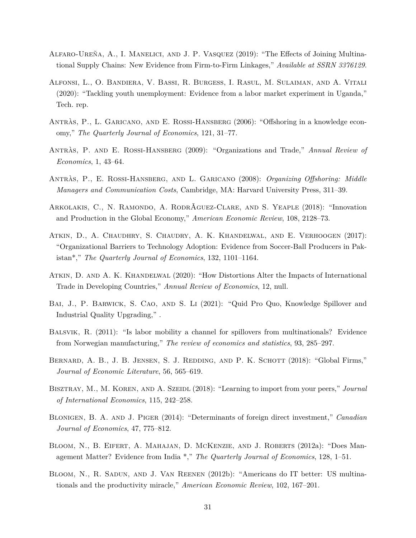- <span id="page-32-2"></span>Alfaro-Ureña, A., I. Manelici, and J. P. Vasquez (2019): "The Effects of Joining Multinational Supply Chains: New Evidence from Firm-to-Firm Linkages," *Available at SSRN 3376129*.
- <span id="page-32-10"></span>Alfonsi, L., O. Bandiera, V. Bassi, R. Burgess, I. Rasul, M. Sulaiman, and A. Vitali (2020): "Tackling youth unemployment: Evidence from a labor market experiment in Uganda," Tech. rep.
- <span id="page-32-4"></span>ANTRÀS, P., L. GARICANO, AND E. ROSSI-HANSBERG (2006): "Offshoring in a knowledge economy," *The Quarterly Journal of Economics*, 121, 31–77.
- <span id="page-32-3"></span>Antràs, P. and E. Rossi-Hansberg (2009): "Organizations and Trade," *Annual Review of Economics*, 1, 43–64.
- <span id="page-32-5"></span>Antràs, P., E. Rossi-Hansberg, and L. Garicano (2008): *Organizing Offshoring: Middle Managers and Communication Costs*, Cambridge, MA: Harvard University Press, 311–39.
- <span id="page-32-7"></span>Arkolakis, C., N. Ramondo, A. RodrÃguez-Clare, and S. Yeaple (2018): "Innovation and Production in the Global Economy," *American Economic Review*, 108, 2128–73.
- <span id="page-32-14"></span>Atkin, D., A. Chaudhry, S. Chaudry, A. K. Khandelwal, and E. Verhoogen (2017): "Organizational Barriers to Technology Adoption: Evidence from Soccer-Ball Producers in Pakistan\*," *The Quarterly Journal of Economics*, 132, 1101–1164.
- <span id="page-32-13"></span>Atkin, D. and A. K. Khandelwal (2020): "How Distortions Alter the Impacts of International Trade in Developing Countries," *Annual Review of Economics*, 12, null.
- <span id="page-32-11"></span>BAI, J., P. BARWICK, S. CAO, AND S. LI (2021): "Quid Pro Quo, Knowledge Spillover and Industrial Quality Upgrading," .
- <span id="page-32-1"></span>BALSVIK, R. (2011): "Is labor mobility a channel for spillovers from multinationals? Evidence from Norwegian manufacturing," *The review of economics and statistics*, 93, 285–297.
- <span id="page-32-0"></span>BERNARD, A. B., J. B. JENSEN, S. J. REDDING, AND P. K. SCHOTT (2018): "Global Firms," *Journal of Economic Literature*, 56, 565–619.
- <span id="page-32-12"></span>Bisztray, M., M. Koren, and A. Szeidl (2018): "Learning to import from your peers," *Journal of International Economics*, 115, 242–258.
- <span id="page-32-6"></span>Blonigen, B. A. and J. Piger (2014): "Determinants of foreign direct investment," *Canadian Journal of Economics*, 47, 775–812.
- <span id="page-32-9"></span>Bloom, N., B. Eifert, A. Mahajan, D. McKenzie, and J. Roberts (2012a): "Does Management Matter? Evidence from India \*," *The Quarterly Journal of Economics*, 128, 1–51.
- <span id="page-32-8"></span>Bloom, N., R. Sadun, and J. Van Reenen (2012b): "Americans do IT better: US multinationals and the productivity miracle," *American Economic Review*, 102, 167–201.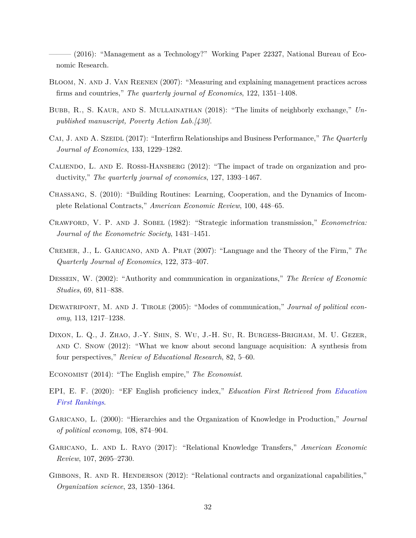<span id="page-33-10"></span> $(2016)$ : "Management as a Technology?" Working Paper 22327, National Bureau of Economic Research.

- <span id="page-33-9"></span>Bloom, N. and J. Van Reenen (2007): "Measuring and explaining management practices across firms and countries," *The quarterly journal of Economics*, 122, 1351–1408.
- <span id="page-33-15"></span>BUBB, R., S. KAUR, AND S. MULLAINATHAN (2018): "The limits of neighborly exchange," Un*published manuscript, Poverty Action Lab.[430]*.
- <span id="page-33-11"></span>CAI, J. AND A. SZEIDL (2017): "Interfirm Relationships and Business Performance," The Quarterly *Journal of Economics*, 133, 1229–1282.
- <span id="page-33-7"></span>CALIENDO, L. AND E. ROSSI-HANSBERG (2012): "The impact of trade on organization and productivity," *The quarterly journal of economics*, 127, 1393–1467.
- <span id="page-33-13"></span>Chassang, S. (2010): "Building Routines: Learning, Cooperation, and the Dynamics of Incomplete Relational Contracts," *American Economic Review*, 100, 448–65.
- <span id="page-33-1"></span>Crawford, V. P. and J. Sobel (1982): "Strategic information transmission," *Econometrica: Journal of the Econometric Society*, 1431–1451.
- <span id="page-33-4"></span>Cremer, J., L. Garicano, and A. Prat (2007): "Language and the Theory of the Firm," *The Quarterly Journal of Economics*, 122, 373–407.
- <span id="page-33-2"></span>Dessein, W. (2002): "Authority and communication in organizations," *The Review of Economic Studies*, 69, 811–838.
- <span id="page-33-3"></span>DEWATRIPONT, M. AND J. TIROLE (2005): "Modes of communication," *Journal of political economy*, 113, 1217–1238.
- <span id="page-33-5"></span>Dixon, L. Q., J. Zhao, J.-Y. Shin, S. Wu, J.-H. Su, R. Burgess-Brigham, M. U. Gezer, and C. Snow (2012): "What we know about second language acquisition: A synthesis from four perspectives," *Review of Educational Research*, 82, 5–60.
- <span id="page-33-6"></span>Economist (2014): "The English empire," *The Economist*.
- <span id="page-33-12"></span>EPI, E. F. (2020): "EF English proficiency index," *Education First Retrieved from [Education](https://www.ef.com/assetscdn/WIBIwq6RdJvcD9bc8RMd/legacy/__/~/media/centralefcom/epi/downloads/full-reports/v10/ef-epi-2020-english.pdf) [First Rankings](https://www.ef.com/assetscdn/WIBIwq6RdJvcD9bc8RMd/legacy/__/~/media/centralefcom/epi/downloads/full-reports/v10/ef-epi-2020-english.pdf)*.
- <span id="page-33-8"></span>Garicano, L. (2000): "Hierarchies and the Organization of Knowledge in Production," *Journal of political economy*, 108, 874–904.
- <span id="page-33-14"></span>Garicano, L. and L. Rayo (2017): "Relational Knowledge Transfers," *American Economic Review*, 107, 2695–2730.
- <span id="page-33-0"></span>GIBBONS, R. AND R. HENDERSON (2012): "Relational contracts and organizational capabilities," *Organization science*, 23, 1350–1364.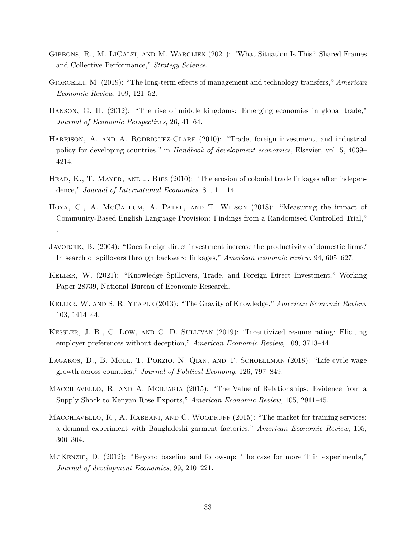- <span id="page-34-13"></span>GIBBONS, R., M. LICALZI, AND M. WARGLIEN (2021): "What Situation Is This? Shared Frames and Collective Performance," *Strategy Science*.
- <span id="page-34-7"></span>Giorcelli, M. (2019): "The long-term effects of management and technology transfers," *American Economic Review*, 109, 121–52.
- <span id="page-34-1"></span>HANSON, G. H. (2012): "The rise of middle kingdoms: Emerging economies in global trade," *Journal of Economic Perspectives*, 26, 41–64.
- <span id="page-34-0"></span>HARRISON, A. AND A. RODRIGUEZ-CLARE (2010): "Trade, foreign investment, and industrial policy for developing countries," in *Handbook of development economics*, Elsevier, vol. 5, 4039– 4214.
- <span id="page-34-5"></span>HEAD, K., T. MAYER, AND J. RIES (2010): "The erosion of colonial trade linkages after independence," *Journal of International Economics*, 81, 1 – 14.
- <span id="page-34-12"></span>Hoya, C., A. McCallum, A. Patel, and T. Wilson (2018): "Measuring the impact of Community-Based English Language Provision: Findings from a Randomised Controlled Trial,"

.

- <span id="page-34-4"></span>Javorcik, B. (2004): "Does foreign direct investment increase the productivity of domestic firms? In search of spillovers through backward linkages," *American economic review*, 94, 605–627.
- <span id="page-34-3"></span>Keller, W. (2021): "Knowledge Spillovers, Trade, and Foreign Direct Investment," Working Paper 28739, National Bureau of Economic Research.
- <span id="page-34-2"></span>Keller, W. and S. R. Yeaple (2013): "The Gravity of Knowledge," *American Economic Review*, 103, 1414–44.
- <span id="page-34-9"></span>Kessler, J. B., C. Low, and C. D. Sullivan (2019): "Incentivized resume rating: Eliciting employer preferences without deception," *American Economic Review*, 109, 3713–44.
- <span id="page-34-10"></span>Lagakos, D., B. Moll, T. Porzio, N. Qian, and T. Schoellman (2018): "Life cycle wage growth across countries," *Journal of Political Economy*, 126, 797–849.
- <span id="page-34-8"></span>MACCHIAVELLO, R. AND A. MORJARIA (2015): "The Value of Relationships: Evidence from a Supply Shock to Kenyan Rose Exports," *American Economic Review*, 105, 2911–45.
- <span id="page-34-6"></span>MACCHIAVELLO, R., A. RABBANI, AND C. WOODRUFF (2015): "The market for training services: a demand experiment with Bangladeshi garment factories," *American Economic Review*, 105, 300–304.
- <span id="page-34-11"></span>McKenzie, D. (2012): "Beyond baseline and follow-up: The case for more T in experiments," *Journal of development Economics*, 99, 210–221.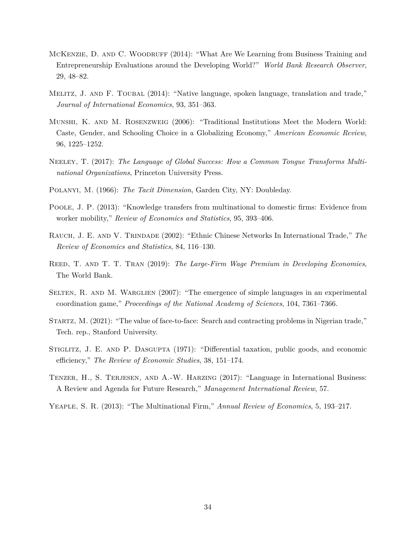- <span id="page-35-12"></span>McKenzie, D. and C. Woodruff (2014): "What Are We Learning from Business Training and Entrepreneurship Evaluations around the Developing World?" *World Bank Research Observer*, 29, 48–82.
- <span id="page-35-5"></span>Melitz, J. and F. Toubal (2014): "Native language, spoken language, translation and trade," *Journal of International Economics*, 93, 351–363.
- <span id="page-35-9"></span>Munshi, K. and M. Rosenzweig (2006): "Traditional Institutions Meet the Modern World: Caste, Gender, and Schooling Choice in a Globalizing Economy," *American Economic Review*, 96, 1225–1252.
- <span id="page-35-8"></span>NEELEY, T. (2017): The Language of Global Success: How a Common Tongue Transforms Multi*national Organizations*, Princeton University Press.
- <span id="page-35-0"></span>Polanyi, M. (1966): *The Tacit Dimension*, Garden City, NY: Doubleday.
- <span id="page-35-3"></span>Poole, J. P. (2013): "Knowledge transfers from multinational to domestic firms: Evidence from worker mobility," *Review of Economics and Statistics*, 95, 393–406.
- <span id="page-35-4"></span>Rauch, J. E. and V. Trindade (2002): "Ethnic Chinese Networks In International Trade," *The Review of Economics and Statistics*, 84, 116–130.
- <span id="page-35-11"></span>Reed, T. and T. T. Tran (2019): *The Large-Firm Wage Premium in Developing Economies*, The World Bank.
- <span id="page-35-1"></span>SELTEN, R. AND M. WARGLIEN (2007): "The emergence of simple languages in an experimental coordination game," *Proceedings of the National Academy of Sciences*, 104, 7361–7366.
- <span id="page-35-6"></span>Startz, M. (2021): "The value of face-to-face: Search and contracting problems in Nigerian trade," Tech. rep., Stanford University.
- <span id="page-35-10"></span>Stiglitz, J. E. and P. Dasgupta (1971): "Differential taxation, public goods, and economic efficiency," *The Review of Economic Studies*, 38, 151–174.
- <span id="page-35-7"></span>TENZER, H., S. TERJESEN, AND A.-W. HARZING (2017): "Language in International Business: A Review and Agenda for Future Research," *Management International Review*, 57.
- <span id="page-35-2"></span>Yeaple, S. R. (2013): "The Multinational Firm," *Annual Review of Economics*, 5, 193–217.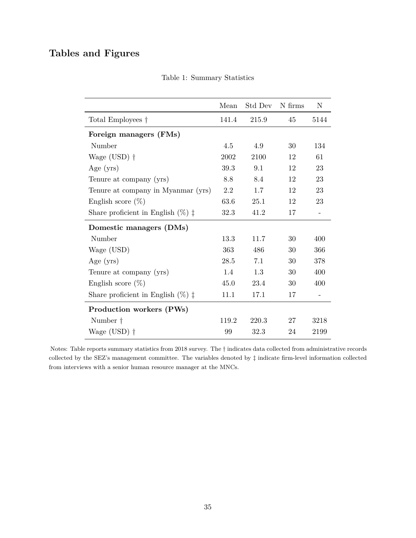# <span id="page-36-0"></span>**Tables and Figures**

|                                               | Mean          | Std Dev N firms |    | N                        |
|-----------------------------------------------|---------------|-----------------|----|--------------------------|
| Total Employees †                             | 141.4         | 215.9           | 45 | 5144                     |
| Foreign managers (FMs)                        |               |                 |    |                          |
| Number                                        | 4.5           | 4.9             | 30 | 134                      |
| Wage $(USD)$ †                                | 2002          | 2100            | 12 | 61                       |
| Age $(yrs)$                                   | 39.3          | 9.1             | 12 | 23                       |
| Tenure at company (yrs)                       | 8.8           | 8.4             | 12 | 23                       |
| Tenure at company in Myanmar (yrs)            | 2.2           | 1.7             | 12 | 23                       |
| English score $(\%)$                          | 63.6          | 25.1            | 12 | 23                       |
| Share proficient in English $(\%)$ $\ddagger$ | 32.3          | 41.2            | 17 | $\overline{\phantom{a}}$ |
| Domestic managers (DMs)                       |               |                 |    |                          |
| Number                                        | 13.3          | 11.7            | 30 | 400                      |
| Wage (USD)                                    | 363           | 486             | 30 | 366                      |
| Age $(yrs)$                                   | 28.5          | 7.1             | 30 | 378                      |
| Tenure at company (yrs)                       | $1.4^{\circ}$ | 1.3             | 30 | 400                      |
| English score $(\%)$                          | 45.0          | 23.4            | 30 | 400                      |
| Share proficient in English $(\%)$ $\ddagger$ | 11.1          | 17.1            | 17 |                          |
| Production workers (PWs)                      |               |                 |    |                          |
| Number $\dagger$                              | 119.2         | 220.3           | 27 | 3218                     |
| Wage $(USD)$ †                                | 99            | 32.3            | 24 | 2199                     |

Table 1: Summary Statistics

Notes: Table reports summary statistics from 2018 survey. The † indicates data collected from administrative records collected by the SEZ's management committee. The variables denoted by ‡ indicate firm-level information collected from interviews with a senior human resource manager at the MNCs.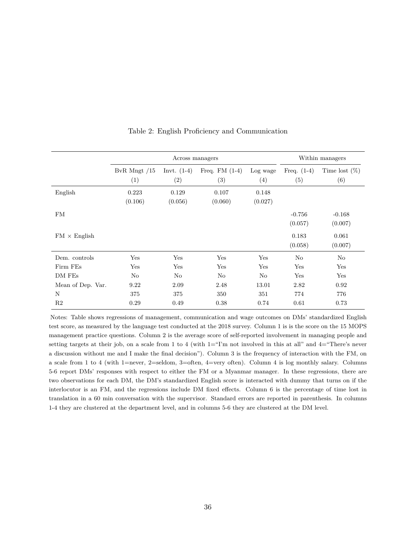<span id="page-37-0"></span>

|                     |                       | Across managers      |                        |                  | Within managers      |                         |
|---------------------|-----------------------|----------------------|------------------------|------------------|----------------------|-------------------------|
|                     | BvR Mngt $/15$<br>(1) | Invt. $(1-4)$<br>(2) | Freq. $FM(1-4)$<br>(3) | Log wage<br>(4)  | Freq. $(1-4)$<br>(5) | Time lost $(\%)$<br>(6) |
| English             | 0.223<br>(0.106)      | 0.129<br>(0.056)     | 0.107<br>(0.060)       | 0.148<br>(0.027) |                      |                         |
| FM                  |                       |                      |                        |                  | $-0.756$<br>(0.057)  | $-0.168$<br>(0.007)     |
| $FM \times$ English |                       |                      |                        |                  | 0.183<br>(0.058)     | 0.061<br>(0.007)        |
| Dem. controls       | Yes                   | Yes                  | Yes                    | Yes              | No                   | No                      |
| Firm FEs            | Yes                   | Yes                  | Yes                    | Yes              | Yes                  | Yes                     |
| DM FEs              | No                    | No                   | No                     | No               | Yes                  | Yes                     |
| Mean of Dep. Var.   | 9.22                  | 2.09                 | 2.48                   | 13.01            | 2.82                 | 0.92                    |
| N                   | 375                   | 375                  | 350                    | 351              | 774                  | 776                     |
| R <sub>2</sub>      | 0.29                  | 0.49                 | 0.38                   | 0.74             | 0.61                 | 0.73                    |

Table 2: English Proficiency and Communication

Notes: Table shows regressions of management, communication and wage outcomes on DMs' standardized English test score, as measured by the language test conducted at the 2018 survey. Column 1 is is the score on the 15 MOPS management practice questions. Column 2 is the average score of self-reported involvement in managing people and setting targets at their job, on a scale from 1 to 4 (with  $1 =$ "I'm not involved in this at all" and  $4 =$ "There's never a discussion without me and I make the final decision"). Column 3 is the frequency of interaction with the FM, on a scale from 1 to 4 (with 1=never, 2=seldom, 3=often, 4=very often). Column 4 is log monthly salary. Columns 5-6 report DMs' responses with respect to either the FM or a Myanmar manager. In these regressions, there are two observations for each DM, the DM's standardized English score is interacted with dummy that turns on if the interlocutor is an FM, and the regressions include DM fixed effects. Column 6 is the percentage of time lost in translation in a 60 min conversation with the supervisor. Standard errors are reported in parenthesis. In columns 1-4 they are clustered at the department level, and in columns 5-6 they are clustered at the DM level.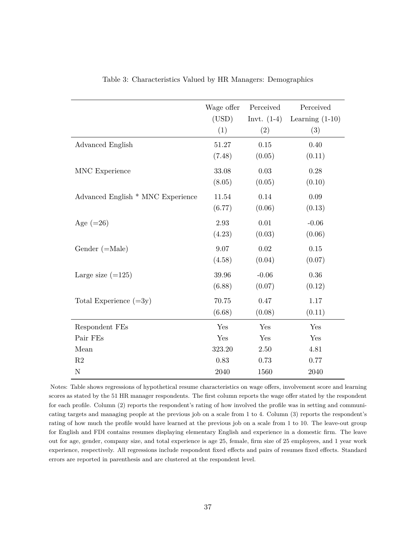<span id="page-38-0"></span>

|                                   | Wage offer | Perceived     | Perceived         |
|-----------------------------------|------------|---------------|-------------------|
|                                   | (USD)      | Invt. $(1-4)$ | Learning $(1-10)$ |
|                                   | (1)        | (2)           | (3)               |
| Advanced English                  | 51.27      | 0.15          | 0.40              |
|                                   | (7.48)     | (0.05)        | (0.11)            |
| MNC Experience                    | 33.08      | 0.03          | 0.28              |
|                                   | (8.05)     | (0.05)        | (0.10)            |
| Advanced English * MNC Experience | 11.54      | 0.14          | 0.09              |
|                                   | (6.77)     | (0.06)        | (0.13)            |
| Age $(=26)$                       | 2.93       | 0.01          | $-0.06$           |
|                                   | (4.23)     | (0.03)        | (0.06)            |
| Gender $(=\text{Male})$           | 9.07       | 0.02          | 0.15              |
|                                   | (4.58)     | (0.04)        | (0.07)            |
| Large size $(=125)$               | 39.96      | $-0.06$       | 0.36              |
|                                   | (6.88)     | (0.07)        | (0.12)            |
| Total Experience $(=3y)$          | 70.75      | 0.47          | 1.17              |
|                                   | (6.68)     | (0.08)        | (0.11)            |
| Respondent FEs                    | Yes        | Yes           | Yes               |
| Pair FEs                          | Yes        | Yes           | Yes               |
| Mean                              | 323.20     | 2.50          | 4.81              |
| R2                                | 0.83       | 0.73          | 0.77              |
| $\mathbf N$                       | 2040       | 1560          | 2040              |

Table 3: Characteristics Valued by HR Managers: Demographics

Notes: Table shows regressions of hypothetical resume characteristics on wage offers, involvement score and learning scores as stated by the 51 HR manager respondents. The first column reports the wage offer stated by the respondent for each profile. Column (2) reports the respondent's rating of how involved the profile was in setting and communicating targets and managing people at the previous job on a scale from 1 to 4. Column (3) reports the respondent's rating of how much the profile would have learned at the previous job on a scale from 1 to 10. The leave-out group for English and FDI contains resumes displaying elementary English and experience in a domestic firm. The leave out for age, gender, company size, and total experience is age 25, female, firm size of 25 employees, and 1 year work experience, respectively. All regressions include respondent fixed effects and pairs of resumes fixed effects. Standard errors are reported in parenthesis and are clustered at the respondent level.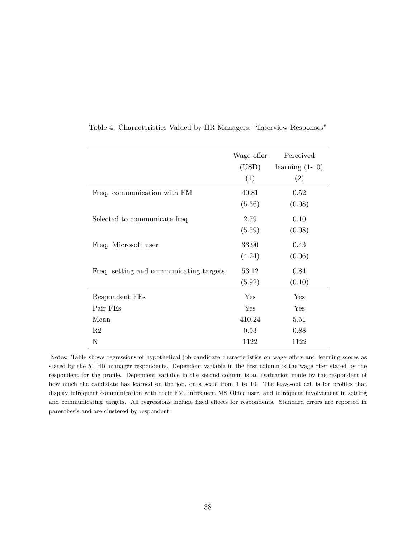|                                         | Wage offer | Perceived         |
|-----------------------------------------|------------|-------------------|
|                                         | (USD)      | learning $(1-10)$ |
|                                         | (1)        | (2)               |
| Freq. communication with FM             | 40.81      | 0.52              |
|                                         | (5.36)     | (0.08)            |
| Selected to communicate freq.           | 2.79       | 0.10              |
|                                         | (5.59)     | (0.08)            |
| Freq. Microsoft user                    | 33.90      | 0.43              |
|                                         | (4.24)     | (0.06)            |
| Freq. setting and communicating targets | 53.12      | 0.84              |
|                                         | (5.92)     | (0.10)            |
| Respondent FEs                          | Yes        | Yes               |
| Pair FEs                                | Yes        | Yes               |
| Mean                                    | 410.24     | 5.51              |
| R <sub>2</sub>                          | 0.93       | 0.88              |
| Ν                                       | 1122       | 1122              |

<span id="page-39-0"></span>Table 4: Characteristics Valued by HR Managers: "Interview Responses"

Notes: Table shows regressions of hypothetical job candidate characteristics on wage offers and learning scores as stated by the 51 HR manager respondents. Dependent variable in the first column is the wage offer stated by the respondent for the profile. Dependent variable in the second column is an evaluation made by the respondent of how much the candidate has learned on the job, on a scale from 1 to 10. The leave-out cell is for profiles that display infrequent communication with their FM, infrequent MS Office user, and infrequent involvement in setting and communicating targets. All regressions include fixed effects for respondents. Standard errors are reported in parenthesis and are clustered by respondent.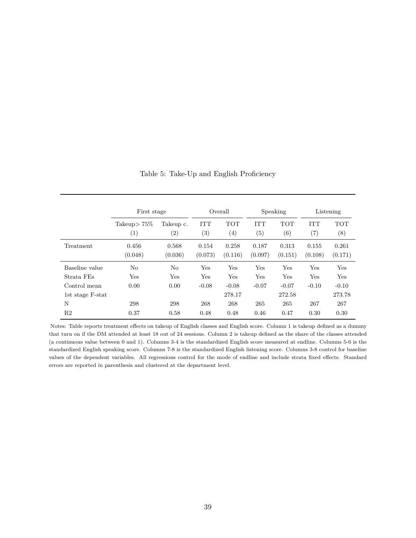<span id="page-40-0"></span>

|                  | First stage            |                  | Overall                         |                                 | Speaking          |                   | Listening                         |                        |
|------------------|------------------------|------------------|---------------------------------|---------------------------------|-------------------|-------------------|-----------------------------------|------------------------|
|                  | Takeup $> 75\%$<br>(1) | Takeup c.<br>(2) | <b>ITT</b><br>$\left( 3\right)$ | <b>TOT</b><br>$\left( 4\right)$ | <b>ITT</b><br>(5) | <b>TOT</b><br>(6) | <b>ITT</b><br>$\scriptstyle{(7)}$ | <b>TOT</b><br>$^{(8)}$ |
| Treatment        | 0.456<br>(0.048)       | 0.568<br>(0.036) | 0.154<br>(0.073)                | 0.258<br>(0.116)                | 0.187<br>(0.097)  | 0.313<br>(0.151)  | 0.155<br>(0.108)                  | 0.261<br>(0.171)       |
| Baseline value   | $\rm No$               | No               | Yes                             | Yes                             | Yes               | Yes               | Yes                               | Yes                    |
| Strata FEs       | Yes                    | Yes              | Yes                             | Yes                             | Yes               | Yes               | Yes                               | Yes                    |
| Control mean     | 0.00                   | 0.00             | $-0.08$                         | $-0.08$                         | $-0.07$           | $-0.07$           | $-0.10$                           | $-0.10$                |
| 1st stage F-stat |                        |                  |                                 | 278.17                          |                   | 272.58            |                                   | 273.78                 |
| N                | 298                    | 298              | 268                             | 268                             | 265               | 265               | 267                               | 267                    |
| R <sub>2</sub>   | 0.37                   | 0.58             | 0.48                            | 0.48                            | 0.46              | 0.47              | 0.30                              | 0.30                   |

Table 5: Take-Up and English Proficiency

Notes: Table reports treatment effects on takeup of English classes and English score. Column 1 is takeup defined as a dummy that turn on if the DM attended at least 18 out of 24 sessions. Column 2 is takeup defined as the share of the classes attended (a continuous value between 0 and 1). Columns 3-4 is the standardized English score measured at endline. Columns 5-6 is the standardized English speaking score. Columns 7-8 is the standardized English listening score. Columns 3-8 control for baseline values of the dependent variables. All regressions control for the mode of endline and include strata fixed effects. Standard errors are reported in parenthesis and clustered at the department level.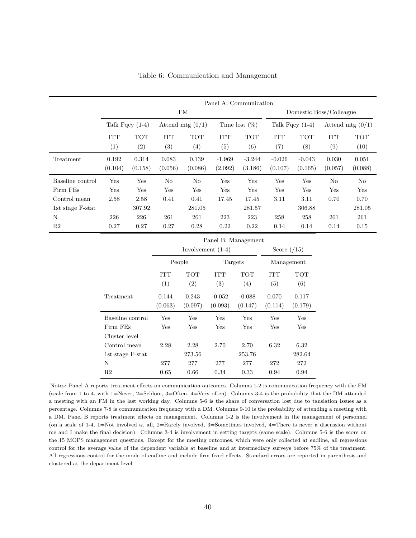<span id="page-41-0"></span>

|                  |                   | Panel A: Communication |                    |                                |                     |                     |                     |                     |                         |                    |
|------------------|-------------------|------------------------|--------------------|--------------------------------|---------------------|---------------------|---------------------|---------------------|-------------------------|--------------------|
|                  |                   |                        |                    | FM                             |                     |                     |                     |                     | Domestic Boss/Colleague |                    |
|                  |                   | Talk Fqcy $(1-4)$      | Attend mtg $(0/1)$ |                                | Time lost $(\%)$    |                     | Talk Fqcy $(1-4)$   |                     | Attend mtg $(0/1)$      |                    |
|                  | <b>ITT</b><br>(1) | <b>TOT</b><br>(2)      | <b>ITT</b><br>(3)  | <b>TOT</b><br>$\left(4\right)$ | <b>ITT</b><br>(5)   | <b>TOT</b><br>(6)   | <b>ITT</b><br>(7)   | <b>TOT</b><br>(8)   | <b>ITT</b><br>(9)       | <b>TOT</b><br>(10) |
| Treatment        | 0.192<br>(0.104)  | 0.314<br>(0.158)       | 0.083<br>(0.056)   | 0.139<br>(0.086)               | $-1.969$<br>(2.092) | $-3.244$<br>(3.186) | $-0.026$<br>(0.107) | $-0.043$<br>(0.165) | 0.030<br>(0.057)        | 0.051<br>(0.088)   |
| Baseline control | Yes               | Yes                    | No                 | No                             | Yes                 | Yes                 | Yes                 | Yes                 | No                      | No                 |
| Firm FEs         | Yes               | Yes                    | Yes                | Yes                            | Yes                 | Yes                 | Yes                 | Yes                 | Yes                     | Yes                |
| Control mean     | 2.58              | 2.58                   | 0.41               | 0.41                           | 17.45               | 17.45               | 3.11                | 3.11                | 0.70                    | 0.70               |
| 1st stage F-stat |                   | 307.92                 |                    | 281.05                         |                     | 281.57              |                     | 306.88              |                         | 281.05             |
| N                | 226               | 226                    | 261                | 261                            | 223                 | 223                 | 258                 | 258                 | 261                     | 261                |
| R <sub>2</sub>   | 0.27              | 0.27                   | 0.27               | 0.28                           | 0.22                | 0.22                | 0.14                | 0.14                | 0.14                    | 0.15               |

|                  |                   | Panel B: Management |                     |                     |                   |                  |  |
|------------------|-------------------|---------------------|---------------------|---------------------|-------------------|------------------|--|
|                  |                   |                     | Involvement $(1-4)$ |                     |                   | Score $(15)$     |  |
|                  |                   | People              | Targets             |                     | Management        |                  |  |
|                  | <b>ITT</b><br>(1) | TOT<br>(2)          | <b>ITT</b><br>(3)   | TOT<br>(4)          | <b>ITT</b><br>(5) | TOT<br>(6)       |  |
| Treatment        | 0.144<br>(0.063)  | 0.243<br>(0.097)    | $-0.052$<br>(0.093) | $-0.088$<br>(0.147) | 0.070<br>(0.114)  | 0.117<br>(0.179) |  |
| Baseline control | Yes               | Yes                 | Yes                 | Yes                 | Yes               | Yes              |  |
| Firm FEs         | Yes               | Yes                 | Yes                 | Yes                 | Yes               | Yes              |  |
| Cluster level    |                   |                     |                     |                     |                   |                  |  |
| Control mean     | 2.28              | 2.28                | 2.70                | 2.70                | 6.32              | 6.32             |  |
| 1st stage F-stat |                   | 273.56              |                     | 253.76              |                   | 282.64           |  |
| N                | 277               | 277                 | 277                 | 277                 | 272               | 272              |  |
| R2               | 0.65              | 0.66                | 0.34                | 0.33                | 0.94              | 0.94             |  |

Notes: Panel A reports treatment effects on communication outcomes. Columns 1-2 is communication frequency with the FM (scale from 1 to 4, with 1=Never, 2=Seldom, 3=Often, 4=Very often). Columns 3-4 is the probability that the DM attended a meeting with an FM in the last working day. Columns 5-6 is the share of conversation lost due to tanslation issues as a percentage. Columns 7-8 is communication frequency with a DM. Columns 9-10 is the probability of attending a meeting with a DM. Panel B reports treatment effects on management. Columns 1-2 is the involvement in the management of personnel (on a scale of 1-4, 1=Not involved at all, 2=Rarely involved, 3=Sometimes involved, 4=There is never a discussion without me and I make the final decision). Columns 3-4 is involvement in setting targets (same scale). Columns 5-6 is the score on the 15 MOPS management questions. Except for the meeting outcomes, which were only collected at endline, all regressions control for the average value of the dependent variable at baseline and at intermediary surveys before 75% of the treatment. All regressions control for the mode of endline and include firm fixed effects. Standard errors are reported in parenthesis and clustered at the department level.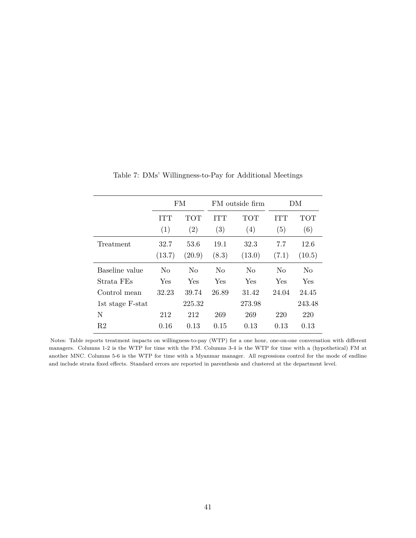<span id="page-42-0"></span>

|                  | <b>FM</b>      |                |                | FM outside firm | DΜ         |                |
|------------------|----------------|----------------|----------------|-----------------|------------|----------------|
|                  | <b>ITT</b>     | <b>TOT</b>     | <b>ITT</b>     | <b>TOT</b>      | <b>ITT</b> | <b>TOT</b>     |
|                  | (1)            | (2)            | (3)            | (4)             | (5)        | (6)            |
| Treatment        | 32.7           | 53.6           | 19.1           | 32.3            | 7.7        | 12.6           |
|                  | (13.7)         | (20.9)         | (8.3)          | (13.0)          | (7.1)      | (10.5)         |
| Baseline value   | N <sub>o</sub> | N <sub>0</sub> | N <sub>o</sub> | N <sub>o</sub>  | $\rm No$   | N <sub>0</sub> |
| Strata FEs       | Yes            | Yes            | Yes            | Yes             | Yes        | Yes            |
| Control mean     | 32.23          | 39.74          | 26.89          | 31.42           | 24.04      | 24.45          |
| 1st stage F-stat |                | 225.32         |                | 273.98          |            | 243.48         |
| N                | 212            | 212            | 269            | 269             | 220        | 220            |
| R2               | 0.16           | 0.13           | 0.15           | 0.13            | 0.13       | 0.13           |

Table 7: DMs' Willingness-to-Pay for Additional Meetings

Notes: Table reports treatment impacts on willingness-to-pay (WTP) for a one hour, one-on-one conversation with different managers. Columns 1-2 is the WTP for time with the FM. Columns 3-4 is the WTP for time with a (hypothetical) FM at another MNC. Columns 5-6 is the WTP for time with a Myanmar manager. All regressions control for the mode of endline and include strata fixed effects. Standard errors are reported in parenthesis and clustered at the department level.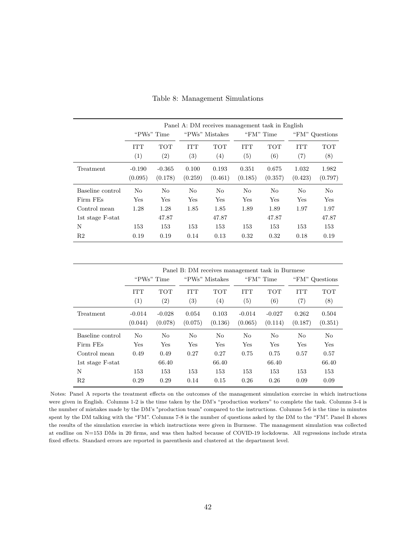<span id="page-43-0"></span>

|                  |                |            |                   |                   | Panel A: DM receives management task in English |            |            |                |  |
|------------------|----------------|------------|-------------------|-------------------|-------------------------------------------------|------------|------------|----------------|--|
|                  |                | "PWs" Time | "PWs" Mistakes    |                   |                                                 | "FM" Time  |            | "FM" Questions |  |
|                  | <b>ITT</b>     | <b>TOT</b> | <b>ITT</b>        | <b>TOT</b>        | <b>ITT</b>                                      | <b>TOT</b> | <b>ITT</b> | TOT            |  |
|                  | (1)            | (2)        | $\left( 3\right)$ | $\left( 4\right)$ | (5)                                             | (6)        | (7)        | (8)            |  |
| Treatment        | $-0.190$       | $-0.365$   | 0.100             | 0.193             | 0.351                                           | 0.675      | 1.032      | 1.982          |  |
|                  | (0.095)        | (0.178)    | (0.259)           | (0.461)           | (0.185)                                         | (0.357)    | (0.423)    | (0.797)        |  |
| Baseline control | N <sub>o</sub> | No         | No                | N <sub>o</sub>    | No                                              | No         | No         | No             |  |
| Firm FEs         | Yes            | Yes        | Yes               | Yes               | Yes                                             | Yes        | Yes        | Yes            |  |
| Control mean     | 1.28           | 1.28       | 1.85              | 1.85              | 1.89                                            | 1.89       | 1.97       | 1.97           |  |
| 1st stage F-stat |                | 47.87      |                   | 47.87             |                                                 | 47.87      |            | 47.87          |  |
| N                | 153            | 153        | 153               | 153               | 153                                             | 153        | 153        | 153            |  |
| R2               | 0.19           | 0.19       | 0.14              | 0.13              | 0.32                                            | 0.32       | 0.18       | 0.19           |  |

Table 8: Management Simulations

|                  |                     | Panel B: DM receives management task in Burmese |                                 |                                 |                                 |                                 |                   |                   |  |
|------------------|---------------------|-------------------------------------------------|---------------------------------|---------------------------------|---------------------------------|---------------------------------|-------------------|-------------------|--|
|                  |                     | "PWs" Time                                      | "PWs" Mistakes                  |                                 |                                 | "FM" Time                       |                   | "FM" Questions    |  |
|                  | <b>ITT</b><br>(1)   | <b>TOT</b><br>(2)                               | <b>ITT</b><br>$\left( 3\right)$ | <b>TOT</b><br>$\left( 4\right)$ | <b>ITT</b><br>$\left( 5\right)$ | <b>TOT</b><br>$\left( 6\right)$ | <b>ITT</b><br>(7) | <b>TOT</b><br>(8) |  |
| Treatment        | $-0.014$<br>(0.044) | $-0.028$<br>(0.078)                             | 0.054<br>(0.075)                | 0.103<br>(0.136)                | $-0.014$<br>(0.065)             | $-0.027$<br>(0.114)             | 0.262<br>(0.187)  | 0.504<br>(0.351)  |  |
| Baseline control | No                  | N <sub>0</sub>                                  | No                              | N <sub>o</sub>                  | No                              | No                              | No                | No                |  |
| Firm FEs         | Yes                 | Yes                                             | Yes                             | Yes                             | Yes                             | Yes                             | Yes               | Yes               |  |
| Control mean     | 0.49                | 0.49                                            | 0.27                            | 0.27                            | 0.75                            | 0.75                            | 0.57              | 0.57              |  |
| 1st stage F-stat |                     | 66.40                                           |                                 | 66.40                           |                                 | 66.40                           |                   | 66.40             |  |
| N                | 153                 | 153                                             | 153                             | 153                             | 153                             | 153                             | 153               | 153               |  |
| R <sub>2</sub>   | 0.29                | 0.29                                            | 0.14                            | 0.15                            | 0.26                            | 0.26                            | 0.09              | 0.09              |  |

Notes: Panel A reports the treatment effects on the outcomes of the management simulation exercise in which instructions were given in English. Columns 1-2 is the time taken by the DM's "production workers" to complete the task. Columns 3-4 is the number of mistakes made by the DM's "production team" compared to the instructions. Columns 5-6 is the time in minutes spent by the DM talking with the "FM". Columns 7-8 is the number of questions asked by the DM to the "FM". Panel B shows the results of the simulation exercise in which instructions were given in Burmese. The management simulation was collected at endline on N=153 DMs in 20 firms, and was then halted because of COVID-19 lockdowns. All regressions include strata fixed effects. Standard errors are reported in parenthesis and clustered at the department level.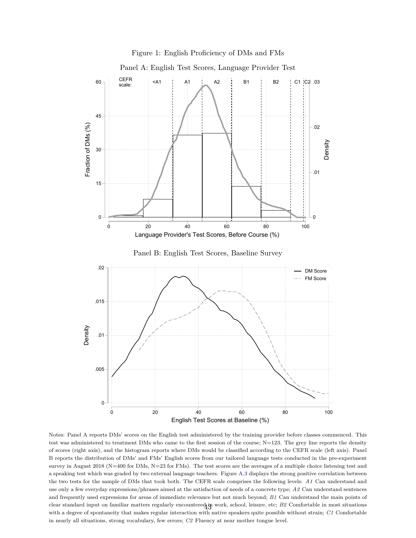<span id="page-44-0"></span>

Notes: Panel A reports DMs' scores on the English test administered by the training provider before classes commenced. This test was administered to treatment DMs who came to the first session of the course;  $N=123$ . The grey line reports the density of scores (right axis), and the histogram reports where DMs would be classified according to the CEFR scale (left axis). Panel B reports the distribution of DMs' and FMs' English scores from our tailored language tests conducted in the pre-experiment survey in August 2018 (N=400 for DMs, N=23 for FMs). The test scores are the averages of a multiple choice listening test and a speaking test which was graded by two external language teachers. Figure [A.3](#page-54-0) displays the strong positive correlation between the two tests for the sample of DMs that took both. The CEFR scale comprises the following levels: *A1* Can understand and use only a few everyday expressions/phrases aimed at the satisfaction of needs of a concrete type; *A2* Can understand sentences and frequently used expressions for areas of immediate relevance but not much beyond; *B1* Can understand the main points of clear standard input on familiar matters regularly encountered in work, school, leisure, etc; *B2* Comfortable in most situations with a degree of spontaneity that makes regular interaction with native speakers quite possible without strain; *C1* Comfortable in nearly all situations, strong vocabulary, few errors; *C2* Fluency at near mother tongue level.

English Test Scores at Baseline (%)

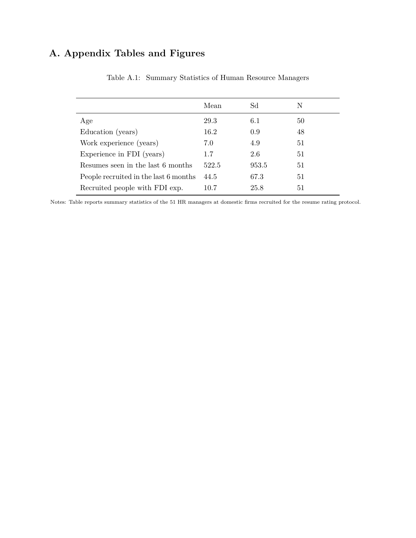# <span id="page-45-0"></span>**A. Appendix Tables and Figures**

|                                       | Mean  | Sd    | N  |
|---------------------------------------|-------|-------|----|
| Age                                   | 29.3  | 6.1   | 50 |
| Education (years)                     | 16.2  | 0.9   | 48 |
| Work experience (years)               | 7.0   | 4.9   | 51 |
| Experience in FDI (years)             | 1.7   | 2.6   | 51 |
| Resumes seen in the last 6 months     | 522.5 | 953.5 | 51 |
| People recruited in the last 6 months | 44.5  | 67.3  | 51 |
| Recruited people with FDI exp.        | 10.7  | 25.8  | 51 |
|                                       |       |       |    |

Table A.1: Summary Statistics of Human Resource Managers

Notes: Table reports summary statistics of the 51 HR managers at domestic firms recruited for the resume rating protocol.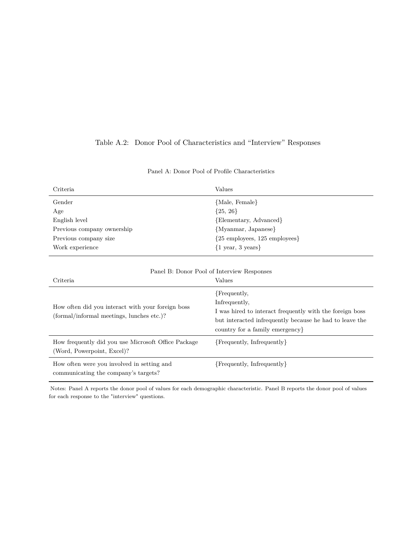# <span id="page-46-0"></span>Table A.2: Donor Pool of Characteristics and "Interview" Responses

| Criteria                                                                                       | Values                                                                                                                                                                                  |
|------------------------------------------------------------------------------------------------|-----------------------------------------------------------------------------------------------------------------------------------------------------------------------------------------|
| Gender                                                                                         | {Male, Female}                                                                                                                                                                          |
| Age                                                                                            | $\{25, 26\}$                                                                                                                                                                            |
| English level                                                                                  | {Elementary, Advanced}                                                                                                                                                                  |
| Previous company ownership                                                                     | {Myanmar, Japanese}                                                                                                                                                                     |
| Previous company size                                                                          | ${25 \text{ employees}, 125 \text{ employees}}$                                                                                                                                         |
| Work experience                                                                                | ${1$ year, 3 years}                                                                                                                                                                     |
|                                                                                                | Panel B: Donor Pool of Interview Responses                                                                                                                                              |
| Criteria                                                                                       | Values                                                                                                                                                                                  |
| How often did you interact with your foreign boss<br>(formal/informal meetings, lunches etc.)? | {Frequently,<br>Infrequently,<br>I was hired to interact frequently with the foreign boss<br>but interacted infrequently because he had to leave the<br>country for a family emergency. |
| How frequently did you use Microsoft Office Package<br>(Word, Powerpoint, Excel)?              | {Frequently, Infrequently}                                                                                                                                                              |
| How often were you involved in setting and<br>communicating the company's targets?             | ${Frequently, In frequently}$                                                                                                                                                           |

## Panel A: Donor Pool of Profile Characteristics

Notes: Panel A reports the donor pool of values for each demographic characteristic. Panel B reports the donor pool of values for each response to the "interview" questions.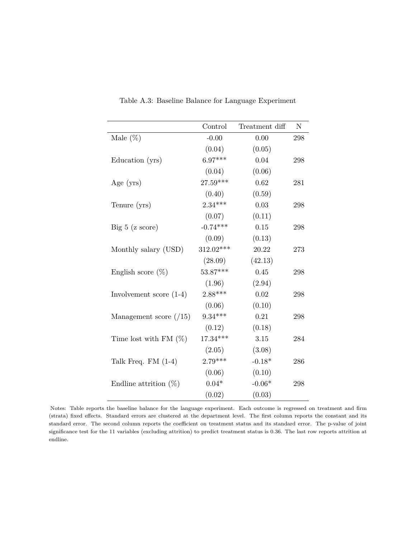<span id="page-47-0"></span>

|                           | Control    | Treatment diff | N   |
|---------------------------|------------|----------------|-----|
| Male $(\%)$               | $-0.00$    | $0.00\,$       | 298 |
|                           | (0.04)     | (0.05)         |     |
| Education (yrs)           | $6.97***$  | 0.04           | 298 |
|                           | (0.04)     | (0.06)         |     |
| Age $(yrs)$               | $27.59***$ | 0.62           | 281 |
|                           | (0.40)     | (0.59)         |     |
| Tenure (yrs)              | $2.34***$  | 0.03           | 298 |
|                           | (0.07)     | (0.11)         |     |
| Big 5 (z score)           | $-0.74***$ | 0.15           | 298 |
|                           | (0.09)     | (0.13)         |     |
| Monthly salary (USD)      | 312.02***  | 20.22          | 273 |
|                           | (28.09)    | (42.13)        |     |
| English score $(\%)$      | $53.87***$ | 0.45           | 298 |
|                           | (1.96)     | (2.94)         |     |
| Involvement score $(1-4)$ | $2.88***$  | 0.02           | 298 |
|                           | (0.06)     | (0.10)         |     |
| Management score $(15)$   | $9.34***$  | 0.21           | 298 |
|                           | (0.12)     | (0.18)         |     |
| Time lost with FM $(\%)$  | $17.34***$ | $3.15\,$       | 284 |
|                           | (2.05)     | (3.08)         |     |
| Talk Freq. $FM(1-4)$      | $2.79***$  | $-0.18*$       | 286 |
|                           | (0.06)     | (0.10)         |     |
| Endline attrition $(\%)$  | $0.04*$    | $-0.06*$       | 298 |
|                           | (0.02)     | (0.03)         |     |

Table A.3: Baseline Balance for Language Experiment

Notes: Table reports the baseline balance for the language experiment. Each outcome is regressed on treatment and firm (strata) fixed effects. Standard errors are clustered at the department level. The first column reports the constant and its standard error. The second column reports the coefficient on treatment status and its standard error. The p-value of joint significance test for the 11 variables (excluding attrition) to predict treatment status is 0.36. The last row reports attrition at endline.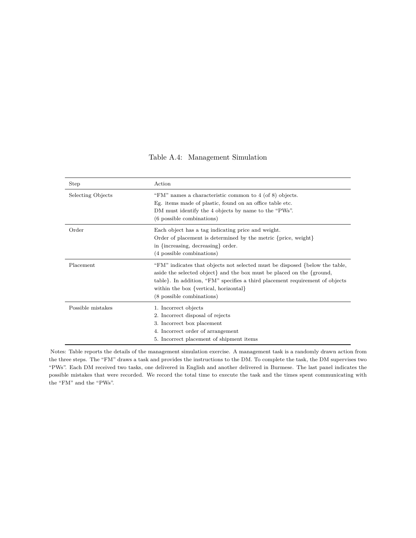## Table A.4: Management Simulation

<span id="page-48-0"></span>

| Step                     | Action                                                                                                                                                                                                                                                                                                               |
|--------------------------|----------------------------------------------------------------------------------------------------------------------------------------------------------------------------------------------------------------------------------------------------------------------------------------------------------------------|
| <b>Selecting Objects</b> | "FM" names a characteristic common to 4 (of 8) objects.<br>Eg. items made of plastic, found on an office table etc.<br>DM must identify the 4 objects by name to the "PWs".<br>(6 possible combinations)                                                                                                             |
| Order                    | Each object has a tag indicating price and weight.<br>Order of placement is determined by the metric {price, weight}<br>in {increasing, decreasing} order.<br>(4 possible combinations)                                                                                                                              |
| Placement                | "FM" indicates that objects not selected must be disposed {below the table,<br>aside the selected object and the box must be placed on the $\{\text{ground},\}$<br>table. In addition, "FM" specifies a third placement requirement of objects<br>within the box {vertical, horizontal}<br>(8 possible combinations) |
| Possible mistakes        | 1. Incorrect objects<br>2. Incorrect disposal of rejects<br>3. Incorrect box placement<br>4. Incorrect order of arrangement<br>5. Incorrect placement of shipment items                                                                                                                                              |

Notes: Table reports the details of the management simulation exercise. A management task is a randomly drawn action from the three steps. The "FM" draws a task and provides the instructions to the DM. To complete the task, the DM supervises two "PWs". Each DM received two tasks, one delivered in English and another delivered in Burmese. The last panel indicates the possible mistakes that were recorded. We record the total time to execute the task and the times spent communicating with the "FM" and the "PWs".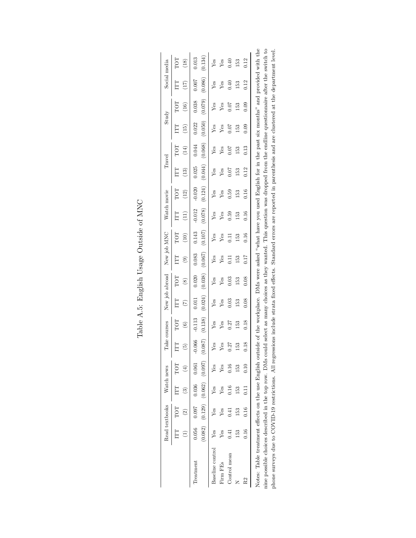<span id="page-49-0"></span>

|                                                                                 |        | Read textbooks                                                                                      | Watch news                                       |               | Take courses                   |                     |                  | New job abroad       |                  | New job MNC              | Watch                | movie                    | Travel                 |                          |                      | Study            | Social           | media                                                                                                            |
|---------------------------------------------------------------------------------|--------|-----------------------------------------------------------------------------------------------------|--------------------------------------------------|---------------|--------------------------------|---------------------|------------------|----------------------|------------------|--------------------------|----------------------|--------------------------|------------------------|--------------------------|----------------------|------------------|------------------|------------------------------------------------------------------------------------------------------------------|
|                                                                                 | ГTТ    | TOT<br>$\widehat{\mathfrak{S}}$                                                                     | Ë<br>ణ                                           | TOT<br>(4)    | ÎΠ<br>$\widetilde{\mathbf{E}}$ | TOT<br>ම            | Ë<br>E           | TOT<br>$\circledast$ | Ę<br>ತ           | TOT<br>$\widetilde{\Xi}$ | Ë                    | TOT<br>$\left(12\right)$ | Ë<br>$\left(13\right)$ | TOT<br>$\left(14\right)$ | E<br>Ë               | TOT<br>16)       | Ë<br>ÎΓ)         | TOT<br>$\left( \frac{8}{18} \right)$                                                                             |
| Treatment                                                                       | 0.056  | 0.097                                                                                               | $(0.082)$ $(0.129)$ $(0.062)$ $(0.097)$<br>0.036 | 0.061         | (0.087)<br>$-0.066$            | (0.138)<br>$-0.113$ | (0.024)<br>0.011 | (0.038)<br>0.020     | (0.067)<br>0.083 | (0.107)<br>0.143         | (0.078)<br>$-0.012$  | (0.124)<br>$-0.020$      | (0.044)<br>0.025       | (0.068)<br>0.044         | (0.050)<br>0.022     | (0.079)<br>0.038 | (0.086)<br>0.007 | (0.134)<br>0.013                                                                                                 |
| <b>Baseline</b> control                                                         | Yes    | Yes                                                                                                 | Yes                                              | Yes           | Yes                            | Yes                 | Yes              | Yes                  | Yes              | Yes                      | Yes                  | Yes                      | Yes                    | Yes                      | Yes                  | Yes              | Yes              | Yes                                                                                                              |
| Firm FEs                                                                        | Yes    | Yes                                                                                                 | Yes                                              | Ýes           | Yes                            | Yes                 | Yes              | Yes                  | Yes              | Yes                      | Yes                  | Yes                      | Yes                    | Yes                      | Yes                  | Yes              | Yes              | Yes                                                                                                              |
| Control mean                                                                    | न<br>ज | 0.41                                                                                                | 0.16                                             | 0.16          | 0.27                           | 0.27                | 0.03             | 0.03                 | Ξ                | Ξ                        | 0.59                 | 0.59                     | 0.07                   | 0.07                     | 1.07                 | 0.07             | 0.40             | 0.40                                                                                                             |
|                                                                                 | 153    | 153                                                                                                 | 153                                              | 153           | 153                            | 153                 | 153              | 153                  | 153              | .53                      | 153                  | 153                      | 153                    | 153                      | 153                  | 153              | $-53$            | 153                                                                                                              |
| R2                                                                              | 0.16   | 0.16                                                                                                | 0.11                                             | $_{0.10}$     | 0.18                           | 0.18                | 0.08             | 0.08                 | 710              | 0.16                     | 0.16                 | 0.16                     | 0.12                   | 0.13                     | 0.09                 | 0.09             | 0.12             | 0.12                                                                                                             |
| Notes: Table treatment effects on the use English outside of the workplace. DMs |        | 1997年,1998年,1998年,1998年,1998年,1998年,1998年,1998年,1998年,1998年,1998年,1998年,1998年,1998年,1998年,1998年,199 |                                                  | $\frac{1}{2}$ | $\frac{1}{2}$                  |                     |                  | Ī                    |                  | $\frac{1}{2}$            | $\ddot{\phantom{0}}$ |                          | $\ddot{\phantom{0}}$   | $\ddot{ }$<br>j          | $\ddot{\phantom{0}}$ |                  | $\ddot{a}$       | were asked "what have you used English for in the past six months" and provided with the<br>$\ddot{\phantom{a}}$ |

Table A.5: English Usage Outside of MNC Table A.5: English Usage Outside of MNC

nine possible choices described in the top row. DMs could select as many choices as they wanted. This question was dropped from the endline questionnaire after the switch to phone surveys due to COVID-19 restrictions. All regressions include strata fixed effects. Standard errors are reported in parenthesis and are clustered at the department level. nine possible choices described in the top row. DMs could select as many choices as they wanted. This question was dropped from the endline questionnaire after the switch to phone surveys due to COVID-19 restrictions. All regressions include strata fixed effects. Standard errors are reported in parenthesis and are clustered at the department level.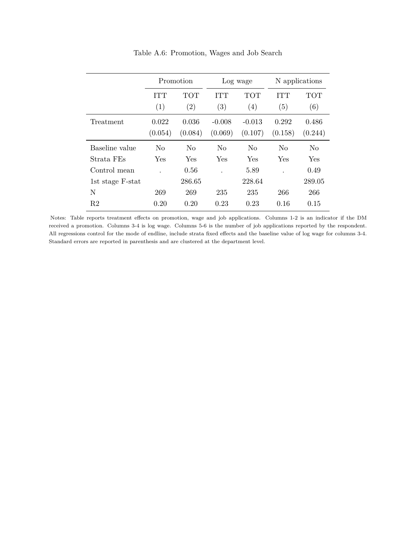<span id="page-50-0"></span>

|                  |         | Promotion      | Log wage          |                |            | N applications |
|------------------|---------|----------------|-------------------|----------------|------------|----------------|
|                  | ITT     | TOT            | ITT               | <b>TOT</b>     | <b>ITT</b> | <b>TOT</b>     |
|                  | (1)     | (2)            | $\left( 3\right)$ | (4)            | (5)        | (6)            |
| Treatment        | 0.022   | 0.036          | $-0.008$          | $-0.013$       | 0.292      | 0.486          |
|                  | (0.054) | (0.084)        | (0.069)           | (0.107)        | (0.158)    | (0.244)        |
| Baseline value   | No      | N <sub>0</sub> | N <sub>0</sub>    | N <sub>0</sub> | No         | N <sub>0</sub> |
| Strata FEs       | Yes     | Yes            | Yes               | Yes            | Yes        | Yes            |
| Control mean     |         | 0.56           |                   | 5.89           |            | 0.49           |
| 1st stage F-stat |         | 286.65         |                   | 228.64         |            | 289.05         |
| N                | 269     | 269            | 235               | 235            | 266        | 266            |
| R2               | 0.20    | 0.20           | 0.23              | 0.23           | 0.16       | 0.15           |

Table A.6: Promotion, Wages and Job Search

Notes: Table reports treatment effects on promotion, wage and job applications. Columns 1-2 is an indicator if the DM received a promotion. Columns 3-4 is log wage. Columns 5-6 is the number of job applications reported by the respondent. All regressions control for the mode of endline, include strata fixed effects and the baseline value of log wage for columns 3-4. Standard errors are reported in parenthesis and are clustered at the department level.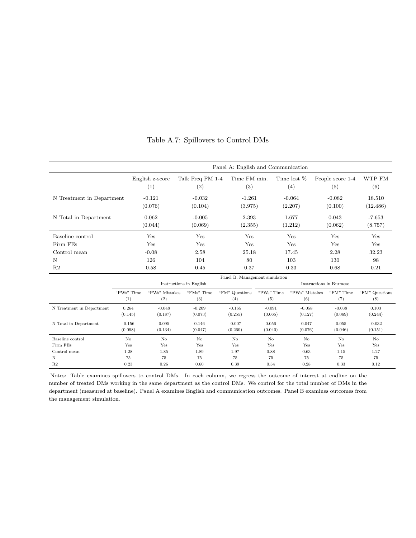<span id="page-51-0"></span>

|                           |                     |                        |                         | Panel A: English and Communication |                     |                       |                         |                       |
|---------------------------|---------------------|------------------------|-------------------------|------------------------------------|---------------------|-----------------------|-------------------------|-----------------------|
|                           |                     | English z-score<br>(1) | Talk Freq FM 1-4<br>(2) | Time FM min.<br>(3)                |                     | Time lost %<br>(4)    | People score 1-4<br>(5) | WTP FM<br>(6)         |
| N Treatment in Department |                     | $-0.121$<br>(0.076)    | $-0.032$<br>(0.104)     | $-1.261$<br>(3.975)                |                     | $-0.064$<br>(2.207)   | $-0.082$<br>(0.100)     | 18.510<br>(12.486)    |
| N Total in Department     |                     | 0.062<br>(0.044)       | $-0.005$<br>(0.069)     | 2.393<br>(2.355)                   |                     | 1.677<br>(1.212)      | 0.043<br>(0.062)        | $-7.653$<br>(8.757)   |
| Baseline control          |                     | Yes                    | Yes                     | Yes                                |                     | Yes                   | Yes                     | Yes                   |
| Firm FEs                  |                     | Yes                    | Yes                     | Yes                                |                     | Yes                   | Yes                     | Yes                   |
| Control mean              |                     | $-0.08$                | 2.58                    | 25.18                              |                     | 17.45                 | 2.28                    | 32.23                 |
| N                         |                     | 126                    | 104                     | 80                                 |                     | 103                   | 130                     | 98                    |
| R <sub>2</sub>            |                     | 0.58                   | 0.45                    | 0.37                               |                     | 0.33                  | 0.68                    | 0.21                  |
|                           |                     |                        | Instructions in English | Panel B: Management simulation     |                     |                       | Instructions in Burmese |                       |
|                           | "PWs" Time<br>(1)   | "PWs" Mistakes<br>(2)  | "FMs" Time<br>(3)       | "FM" Questions<br>(4)              | "PWs" Time<br>(5)   | "PWs" Mistakes<br>(6) | "FM" Time<br>(7)        | "FM" Questions<br>(8) |
| N Treatment in Department | 0.264<br>(0.145)    | $-0.048$<br>(0.187)    | $-0.209$<br>(0.073)     | $-0.165$<br>(0.255)                | $-0.091$<br>(0.065) | $-0.058$<br>(0.127)   | $-0.038$<br>(0.069)     | 0.103<br>(0.244)      |
| N Total in Department     | $-0.156$<br>(0.098) | 0.095<br>(0.134)       | 0.146<br>(0.047)        | $-0.007$<br>(0.260)                | 0.056<br>(0.040)    | 0.047<br>(0.076)      | 0.055<br>(0.046)        | $-0.032$<br>(0.151)   |
| Baseline control          | No                  | No                     | No                      | No                                 | No                  | No                    | N <sub>o</sub>          | No                    |
| Firm FEs                  | Yes                 | Yes                    | Yes                     | Yes                                | Yes                 | Yes                   | Yes                     | Yes                   |
| Control mean              | 1.28                | 1.85                   | 1.89                    | 1.97                               | 0.88                | 0.63                  | 1.15                    | 1.27                  |
| N                         | 75                  | 75                     | 75                      | 75                                 | 75                  | 75                    | 75                      | 75                    |
| R <sub>2</sub>            | 0.23                | 0.26                   | 0.60                    | 0.39                               | 0.34                | 0.28                  | 0.33                    | 0.12                  |

Table A.7: Spillovers to Control DMs

Notes: Table examines spillovers to control DMs. In each column, we regress the outcome of interest at endline on the number of treated DMs working in the same department as the control DMs. We control for the total number of DMs in the department (measured at baseline). Panel A examines English and communication outcomes. Panel B examines outcomes from the management simulation.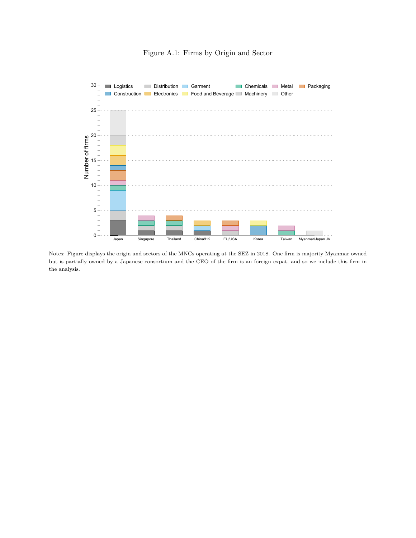# Figure A.1: Firms by Origin and Sector

<span id="page-52-0"></span>

Notes: Figure displays the origin and sectors of the MNCs operating at the SEZ in 2018. One firm is majority Myanmar owned but is partially owned by a Japanese consortium and the CEO of the firm is an foreign expat, and so we include this firm in the analysis.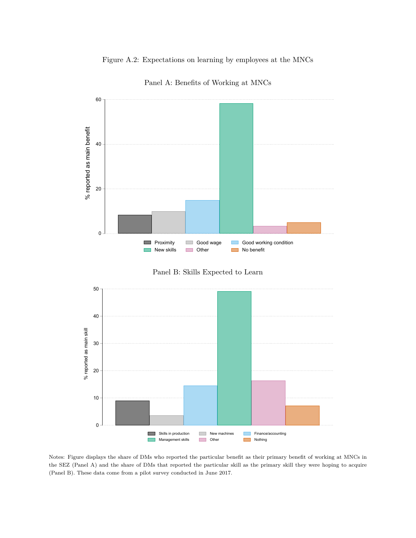## Figure A.2: Expectations on learning by employees at the MNCs

<span id="page-53-0"></span>

Panel A: Benefits of Working at MNCs





Notes: Figure displays the share of DMs who reported the particular benefit as their primary benefit of working at MNCs in the SEZ (Panel A) and the share of DMs that reported the particular skill as the primary skill they were hoping to acquire (Panel B). These data come from a pilot survey conducted in June 2017.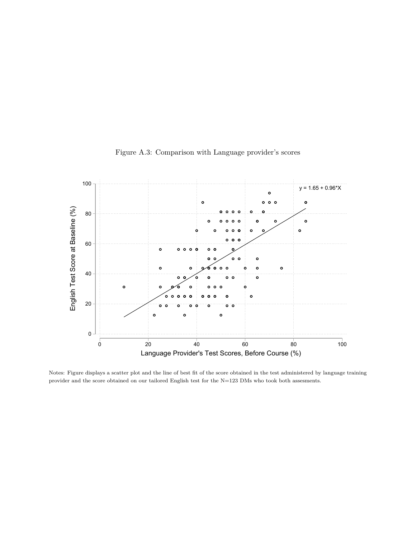<span id="page-54-0"></span>

Figure A.3: Comparison with Language provider's scores

Notes: Figure displays a scatter plot and the line of best fit of the score obtained in the test administered by language training provider and the score obtained on our tailored English test for the  ${\rm N=123}$  DMs who took both assesments.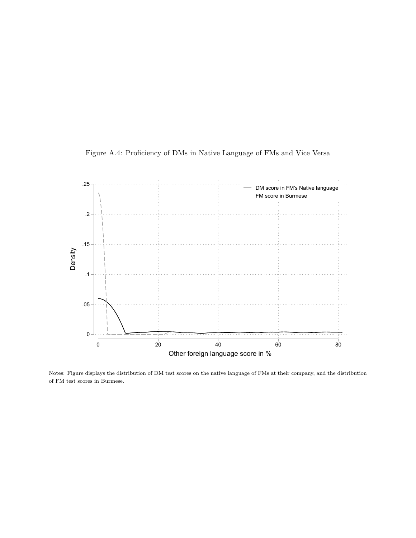<span id="page-55-0"></span>



Notes: Figure displays the distribution of DM test scores on the native language of FMs at their company, and the distribution of FM test scores in Burmese.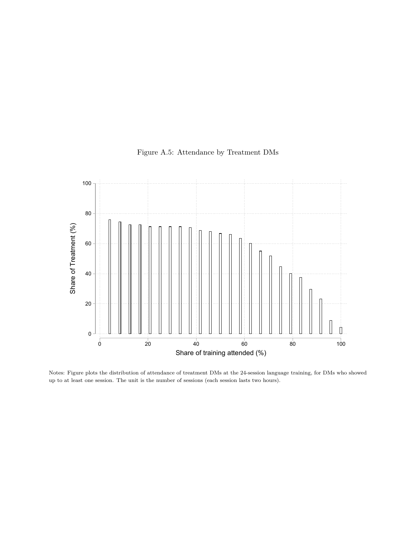<span id="page-56-0"></span>

# Figure A.5: Attendance by Treatment DMs

Notes: Figure plots the distribution of attendance of treatment DMs at the 24-session language training, for DMs who showed up to at least one session. The unit is the number of sessions (each session lasts two hours).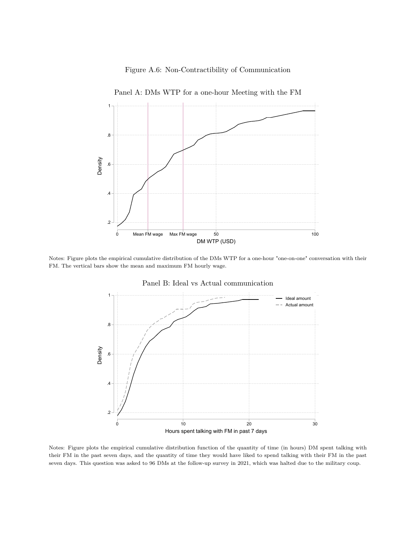

<span id="page-57-0"></span>

Panel A: DMs WTP for a one-hour Meeting with the FM

Notes: Figure plots the empirical cumulative distribution of the DMs WTP for a one-hour "one-on-one" conversation with their FM. The vertical bars show the mean and maximum FM hourly wage.



Panel B: Ideal vs Actual communication

Notes: Figure plots the empirical cumulative distribution function of the quantity of time (in hours) DM spent talking with their FM in the past seven days, and the quantity of time they would have liked to spend talking with their FM in the past seven days. This question was asked to 96 DMs at the follow-up survey in 2021, which was halted due to the military coup.